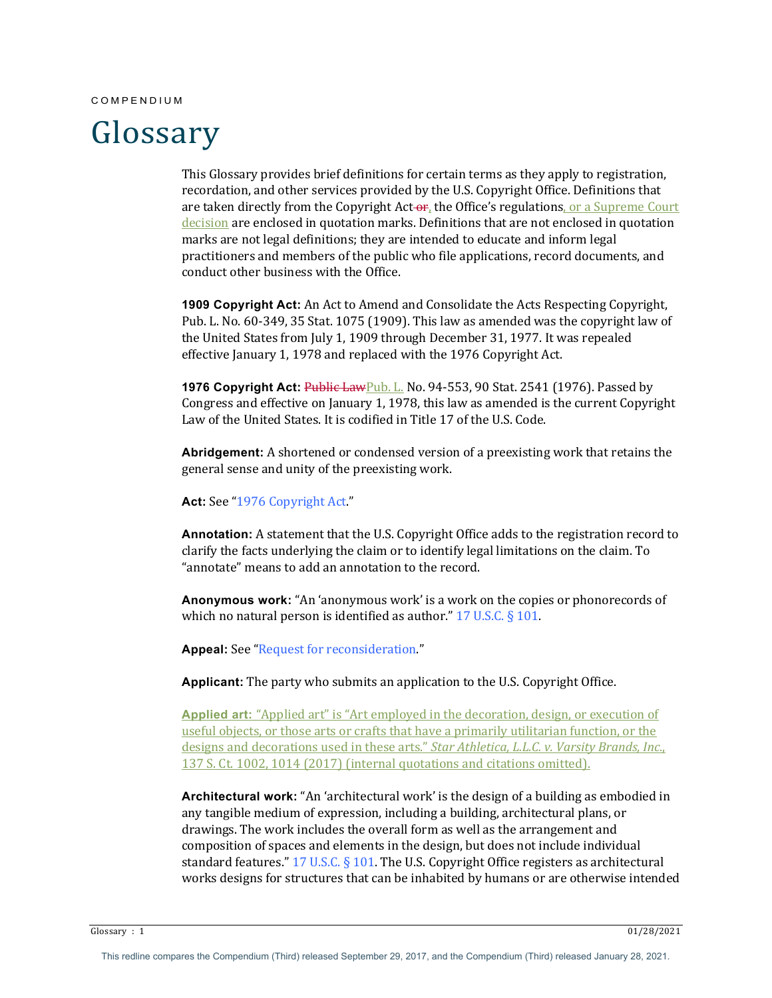#### COMPENDIUM

# Glossary

This Glossary provides brief definitions for certain terms as they apply to registration, recordation, and other services provided by the U.S. Copyright Office. Definitions that are taken directly from the Copyright Act- $\sigma_{f}$ , the Office's regulations, or a Supreme Court decision are enclosed in quotation marks. Definitions that are not enclosed in quotation marks are not legal definitions; they are intended to educate and inform legal practitioners and members of the public who file applications, record documents, and conduct other business with the Office.

**1909 Copyright Act:** An Act to Amend and Consolidate the Acts Respecting Copyright, Pub. L. No. 60-349, 35 Stat. 1075 (1909). This law as amended was the copyright law of the United States from July 1, 1909 through December 31, 1977. It was repealed effective January 1, 1978 and replaced with the 1976 Copyright Act.

**1976 Copyright Act:** Public LawPub. L. No. 94-553, 90 Stat. 2541 (1976). Passed by Congress and effective on January 1, 1978, this law as amended is the current Copyright Law of the United States. It is codified in Title 17 of the U.S. Code.

**Abridgement:** A shortened or condensed version of a preexisting work that retains the general sense and unity of the preexisting work.

Act: See "1976 Copyright Act."

**Annotation:** A statement that the U.S. Copyright Office adds to the registration record to clarify the facts underlying the claim or to identify legal limitations on the claim. To "annotate" means to add an annotation to the record.

**Anonymous work:** "An 'anonymous work' is a work on the copies or phonorecords of which no natural person is identified as author."  $17$  U.S.C. § 101.

**Appeal:** See "Request for reconsideration."

**Applicant:** The party who submits an application to the U.S. Copyright Office.

**Applied art:** "Applied art" is "Art employed in the decoration, design, or execution of useful objects, or those arts or crafts that have a primarily utilitarian function, or the designs and decorations used in these arts." *Star Athletica, L.L.C. v. Varsity Brands, Inc.*, 137 S. Ct. 1002, 1014 (2017) (internal quotations and citations omitted).

**Architectural work:** "An 'architectural work' is the design of a building as embodied in any tangible medium of expression, including a building, architectural plans, or drawings. The work includes the overall form as well as the arrangement and composition of spaces and elements in the design, but does not include individual standard features."  $17 \text{ U.S.C.}$  §  $101$ . The U.S. Copyright Office registers as architectural works designs for structures that can be inhabited by humans or are otherwise intended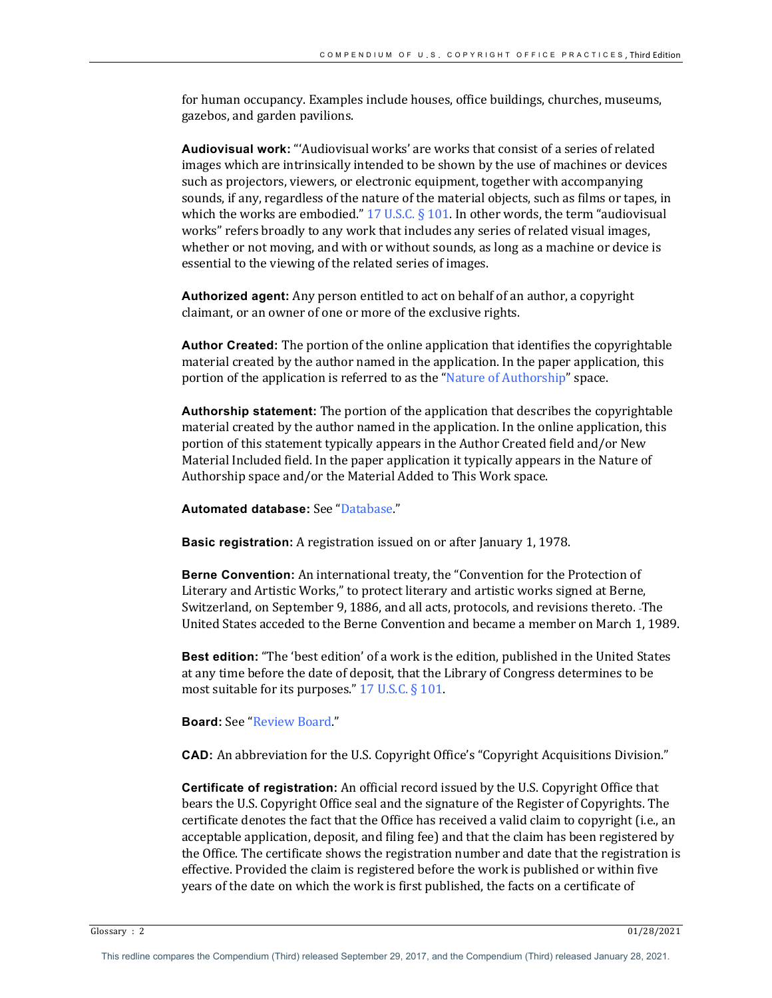for human occupancy. Examples include houses, office buildings, churches, museums, gazebos, and garden pavilions.

**Audiovisual work:** "'Audiovisual works' are works that consist of a series of related images which are intrinsically intended to be shown by the use of machines or devices such as projectors, viewers, or electronic equipment, together with accompanying sounds, if any, regardless of the nature of the material objects, such as films or tapes, in which the works are embodied."  $17 \text{ U.S.C.} \S 101$ . In other words, the term "audiovisual works" refers broadly to any work that includes any series of related visual images, whether or not moving, and with or without sounds, as long as a machine or device is essential to the viewing of the related series of images.

**Authorized agent:** Any person entitled to act on behalf of an author, a copyright claimant, or an owner of one or more of the exclusive rights.

**Author Created:** The portion of the online application that identifies the copyrightable material created by the author named in the application. In the paper application, this portion of the application is referred to as the "Nature of Authorship" space.

**Authorship statement:** The portion of the application that describes the copyrightable material created by the author named in the application. In the online application, this portion of this statement typically appears in the Author Created field and/or New Material Included field. In the paper application it typically appears in the Nature of Authorship space and/or the Material Added to This Work space.

**Automated database:** See "Database."

**Basic registration:** A registration issued on or after January 1, 1978.

**Berne Convention:** An international treaty, the "Convention for the Protection of Literary and Artistic Works," to protect literary and artistic works signed at Berne, Switzerland, on September 9, 1886, and all acts, protocols, and revisions thereto. -The United States acceded to the Berne Convention and became a member on March 1, 1989.

**Best edition:** "The 'best edition' of a work is the edition, published in the United States at any time before the date of deposit, that the Library of Congress determines to be most suitable for its purposes."  $17$  U.S.C. §  $101$ .

## **Board:** See "Review Board."

**CAD:** An abbreviation for the U.S. Copyright Office's "Copyright Acquisitions Division."

**Certificate of registration:** An official record issued by the U.S. Copyright Office that bears the U.S. Copyright Office seal and the signature of the Register of Copyrights. The certificate denotes the fact that the Office has received a valid claim to copyright (i.e., an acceptable application, deposit, and filing fee) and that the claim has been registered by the Office. The certificate shows the registration number and date that the registration is effective. Provided the claim is registered before the work is published or within five years of the date on which the work is first published, the facts on a certificate of

Glossary : 2  $01/28/2021$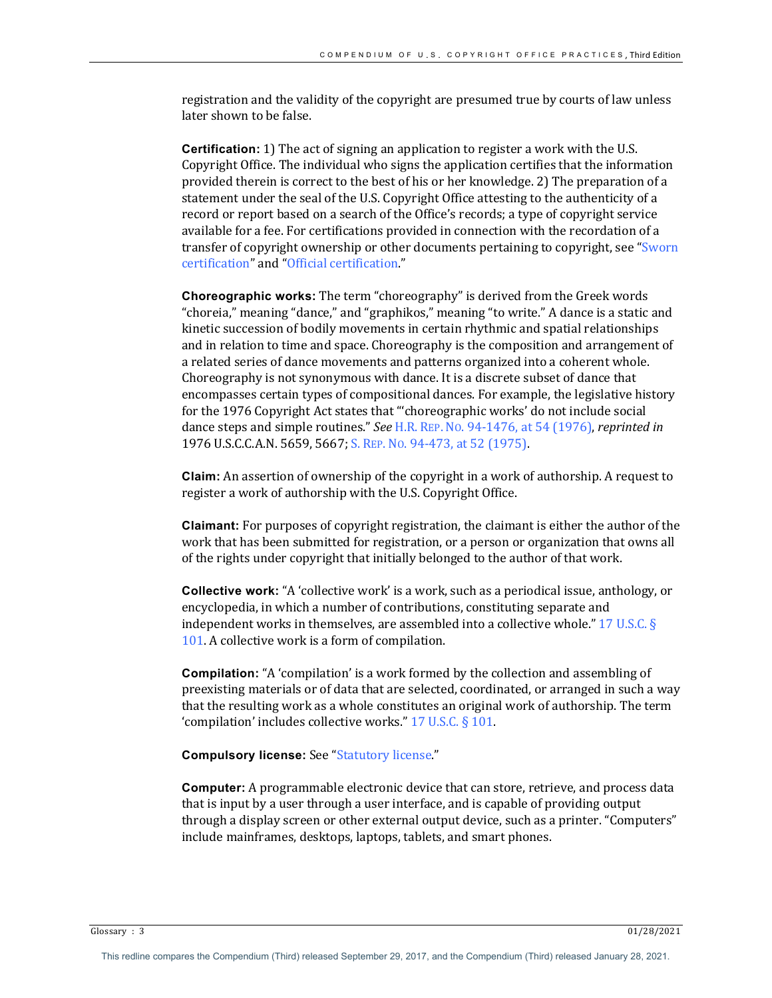registration and the validity of the copyright are presumed true by courts of law unless later shown to be false.

**Certification:** 1) The act of signing an application to register a work with the U.S. Copyright Office. The individual who signs the application certifies that the information provided therein is correct to the best of his or her knowledge. 2) The preparation of a statement under the seal of the U.S. Copyright Office attesting to the authenticity of a record or report based on a search of the Office's records; a type of copyright service available for a fee. For certifications provided in connection with the recordation of a transfer of copyright ownership or other documents pertaining to copyright, see "Sworn certification" and "Official certification."

**Choreographic works:** The term "choreography" is derived from the Greek words "choreia," meaning "dance," and "graphikos," meaning "to write." A dance is a static and kinetic succession of bodily movements in certain rhythmic and spatial relationships and in relation to time and space. Choreography is the composition and arrangement of a related series of dance movements and patterns organized into a coherent whole. Choreography is not synonymous with dance. It is a discrete subset of dance that encompasses certain types of compositional dances. For example, the legislative history for the 1976 Copyright Act states that "'choreographic works' do not include social dance steps and simple routines." *See* H.R. REP. No. 94-1476, at 54 (1976), *reprinted in* 1976 U.S.C.C.A.N. 5659, 5667; S. REP. No. 94-473, at 52 (1975).

**Claim:** An assertion of ownership of the copyright in a work of authorship. A request to register a work of authorship with the U.S. Copyright Office.

**Claimant:** For purposes of copyright registration, the claimant is either the author of the work that has been submitted for registration, or a person or organization that owns all of the rights under copyright that initially belonged to the author of that work.

**Collective work:** "A 'collective work' is a work, such as a periodical issue, anthology, or encyclopedia, in which a number of contributions, constituting separate and independent works in themselves, are assembled into a collective whole." 17 U.S.C.  $\S$ 101. A collective work is a form of compilation.

**Compilation:** "A 'compilation' is a work formed by the collection and assembling of preexisting materials or of data that are selected, coordinated, or arranged in such a way that the resulting work as a whole constitutes an original work of authorship. The term 'compilation' includes collective works."  $17$  U.S.C.  $\S$  101.

## **Compulsory license:** See "Statutory license."

**Computer:** A programmable electronic device that can store, retrieve, and process data that is input by a user through a user interface, and is capable of providing output through a display screen or other external output device, such as a printer. "Computers" include mainframes, desktops, laptops, tablets, and smart phones.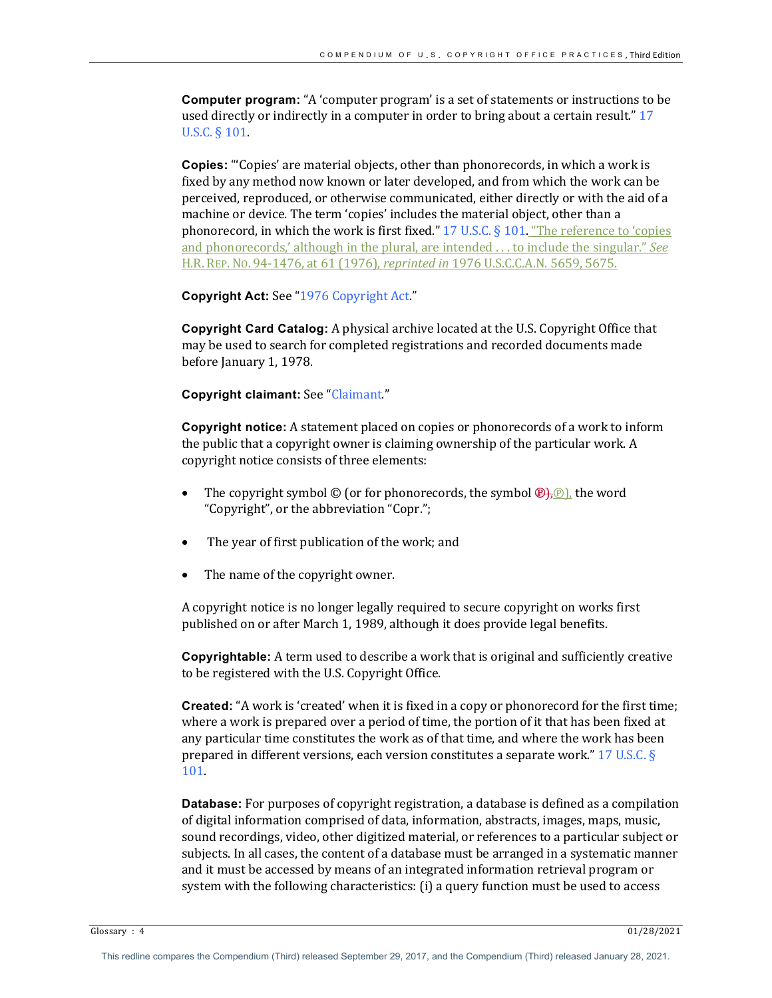**Computer program:** "A 'computer program' is a set of statements or instructions to be used directly or indirectly in a computer in order to bring about a certain result." 17 U.S.C. § 101.

**Copies:** "Copies' are material objects, other than phonorecords, in which a work is fixed by any method now known or later developed, and from which the work can be perceived, reproduced, or otherwise communicated, either directly or with the aid of a machine or device. The term 'copies' includes the material object, other than a phonorecord, in which the work is first fixed."  $17 \text{ U.S.C.}$  §  $101$ . "The reference to 'copies and phonorecords,' although in the plural, are intended ... to include the singular." *See* H.R. REP. No. 94-1476, at 61 (1976), *reprinted in* 1976 U.S.C.C.A.N. 5659, 5675.

**Copyright Act:** See "1976 Copyright Act."

**Copyright Card Catalog:** A physical archive located at the U.S. Copyright Office that may be used to search for completed registrations and recorded documents made before January 1, 1978.

**Copyright claimant:** See "Claimant."

**Copyright notice:** A statement placed on copies or phonorecords of a work to inform the public that a copyright owner is claiming ownership of the particular work. A copyright notice consists of three elements:

- The copyright symbol  $\odot$  (or for phonorecords, the symbol  $\bigoplus_i \odot$ ), the word "Copyright", or the abbreviation "Copr.";
- The year of first publication of the work; and
- The name of the copyright owner.

A copyright notice is no longer legally required to secure copyright on works first published on or after March 1, 1989, although it does provide legal benefits.

**Copyrightable:** A term used to describe a work that is original and sufficiently creative to be registered with the U.S. Copyright Office.

**Created:** "A work is 'created' when it is fixed in a copy or phonorecord for the first time; where a work is prepared over a period of time, the portion of it that has been fixed at any particular time constitutes the work as of that time, and where the work has been prepared in different versions, each version constitutes a separate work."  $17$  U.S.C. § 101.

**Database:** For purposes of copyright registration, a database is defined as a compilation of digital information comprised of data, information, abstracts, images, maps, music, sound recordings, video, other digitized material, or references to a particular subject or subjects. In all cases, the content of a database must be arranged in a systematic manner and it must be accessed by means of an integrated information retrieval program or system with the following characteristics:  $(i)$  a query function must be used to access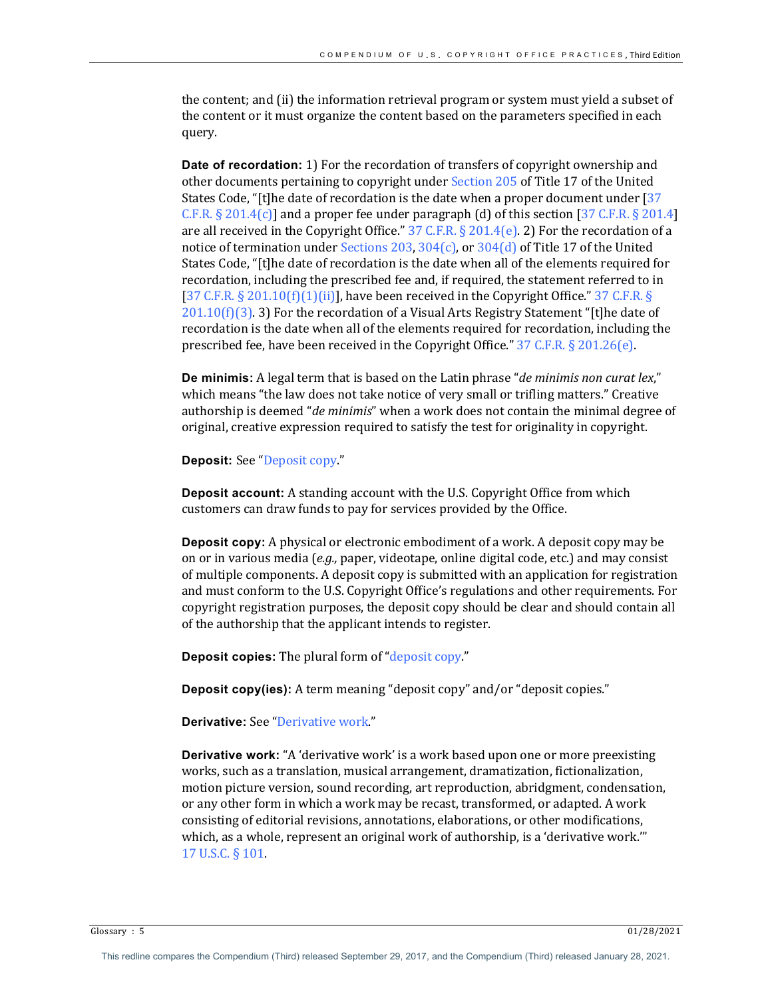the content; and (ii) the information retrieval program or system must yield a subset of the content or it must organize the content based on the parameters specified in each query. 

**Date of recordation:** 1) For the recordation of transfers of copyright ownership and other documents pertaining to copyright under Section 205 of Title 17 of the United States Code, "[t]he date of recordation is the date when a proper document under  $[37]$ C.F.R.  $\S 201.4(c)$ ] and a proper fee under paragraph (d) of this section [37 C.F.R.  $\S 201.4$ ] are all received in the Copyright Office."  $37$  C.F.R. § 201.4(e). 2) For the recordation of a notice of termination under Sections 203, 304(c), or  $304(d)$  of Title 17 of the United States Code, "[t]he date of recordation is the date when all of the elements required for recordation, including the prescribed fee and, if required, the statement referred to in [37 C.F.R.  $\S$  201.10(f)(1)(ii)], have been received in the Copyright Office." 37 C.F.R.  $\S$  $201.10(f)(3)$ . 3) For the recordation of a Visual Arts Registry Statement "[t]he date of recordation is the date when all of the elements required for recordation, including the prescribed fee, have been received in the Copyright Office."  $37$  C.F.R. § 201.26(e).

**De minimis:** A legal term that is based on the Latin phrase "*de minimis non curat lex*," which means "the law does not take notice of very small or trifling matters." Creative authorship is deemed "*de minimis*" when a work does not contain the minimal degree of original, creative expression required to satisfy the test for originality in copyright.

**Deposit:** See "Deposit copy."

**Deposit account:** A standing account with the U.S. Copyright Office from which customers can draw funds to pay for services provided by the Office.

**Deposit copy:** A physical or electronic embodiment of a work. A deposit copy may be on or in various media (*e.g.*, paper, videotape, online digital code, etc.) and may consist of multiple components. A deposit copy is submitted with an application for registration and must conform to the U.S. Copyright Office's regulations and other requirements. For copyright registration purposes, the deposit copy should be clear and should contain all of the authorship that the applicant intends to register.

**Deposit copies:** The plural form of "deposit copy."

**Deposit copy(ies):** A term meaning "deposit copy" and/or "deposit copies."

**Derivative:** See "Derivative work."

**Derivative work:** "A 'derivative work' is a work based upon one or more preexisting works, such as a translation, musical arrangement, dramatization, fictionalization, motion picture version, sound recording, art reproduction, abridgment, condensation, or any other form in which a work may be recast, transformed, or adapted. A work consisting of editorial revisions, annotations, elaborations, or other modifications, which, as a whole, represent an original work of authorship, is a 'derivative work." 17 U.S.C. § 101.

Glossary : 5  $01/28/2021$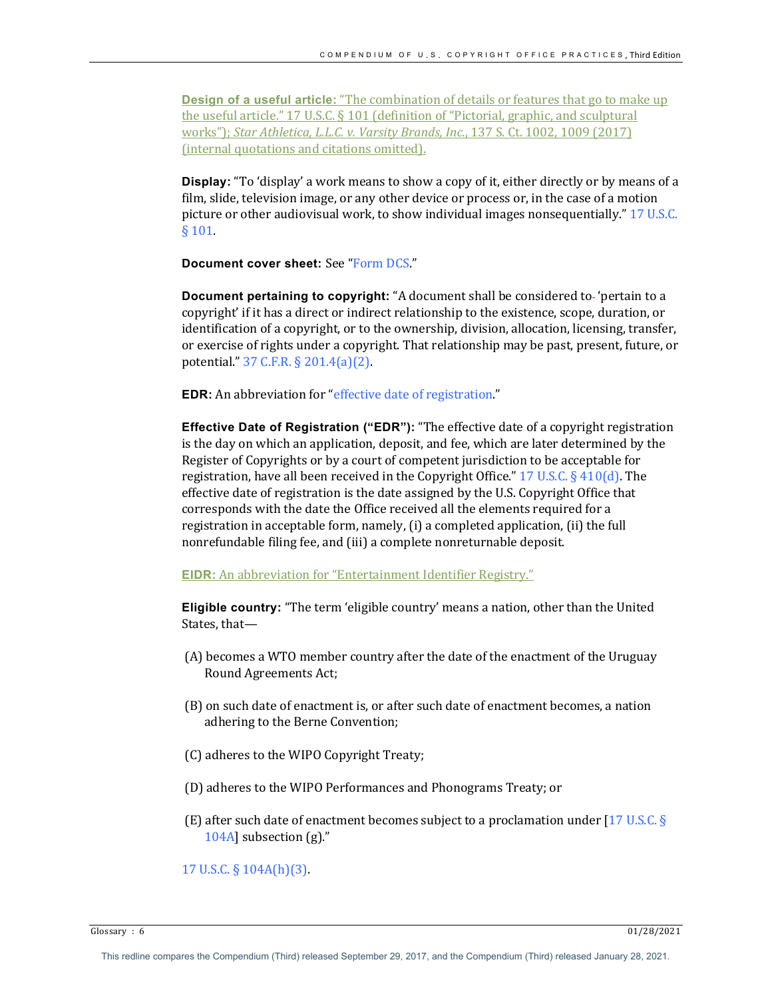**Design of a useful article:** "The combination of details or features that go to make up the useful article."  $17$  U.S.C. §  $101$  (definition of "Pictorial, graphic, and sculptural works"); *Star Athletica, L.L.C. v. Varsity Brands, Inc.*, 137 S. Ct. 1002, 1009 (2017) (internal quotations and citations omitted).

**Display:** "To 'display' a work means to show a copy of it, either directly or by means of a film, slide, television image, or any other device or process or, in the case of a motion picture or other audiovisual work, to show individual images nonsequentially."  $17$  U.S.C. § 101.

**Document cover sheet:** See "Form DCS."

**Document pertaining to copyright:** "A document shall be considered to-'pertain to a copyright' if it has a direct or indirect relationship to the existence, scope, duration, or identification of a copyright, or to the ownership, division, allocation, licensing, transfer, or exercise of rights under a copyright. That relationship may be past, present, future, or potential." 37 C.F.R. § 201.4(a)(2).

**EDR:** An abbreviation for "effective date of registration."

**Effective Date of Registration ("EDR"):** "The effective date of a copyright registration is the day on which an application, deposit, and fee, which are later determined by the Register of Copyrights or by a court of competent jurisdiction to be acceptable for registration, have all been received in the Copyright Office."  $17 \text{ U.S.C.} \S 410(d)$ . The effective date of registration is the date assigned by the U.S. Copyright Office that corresponds with the date the Office received all the elements required for a registration in acceptable form, namely, (i) a completed application, (ii) the full nonrefundable filing fee, and (iii) a complete nonreturnable deposit.

**EIDR:** An abbreviation for "Entertainment Identifier Registry."

**Eligible country:** "The term 'eligible country' means a nation, other than the United States, that-

- (A) becomes a WTO member country after the date of the enactment of the Uruguay Round Agreements Act;
- (B) on such date of enactment is, or after such date of enactment becomes, a nation adhering to the Berne Convention;
- (C) adheres to the WIPO Copyright Treaty;
- (D) adheres to the WIPO Performances and Phonograms Treaty; or
- (E) after such date of enactment becomes subject to a proclamation under [17 U.S.C. §  $104A$ ] subsection (g)."

## 17 U.S.C.  $\S$  104A(h)(3).

Glossary :  $6$  01/28/2021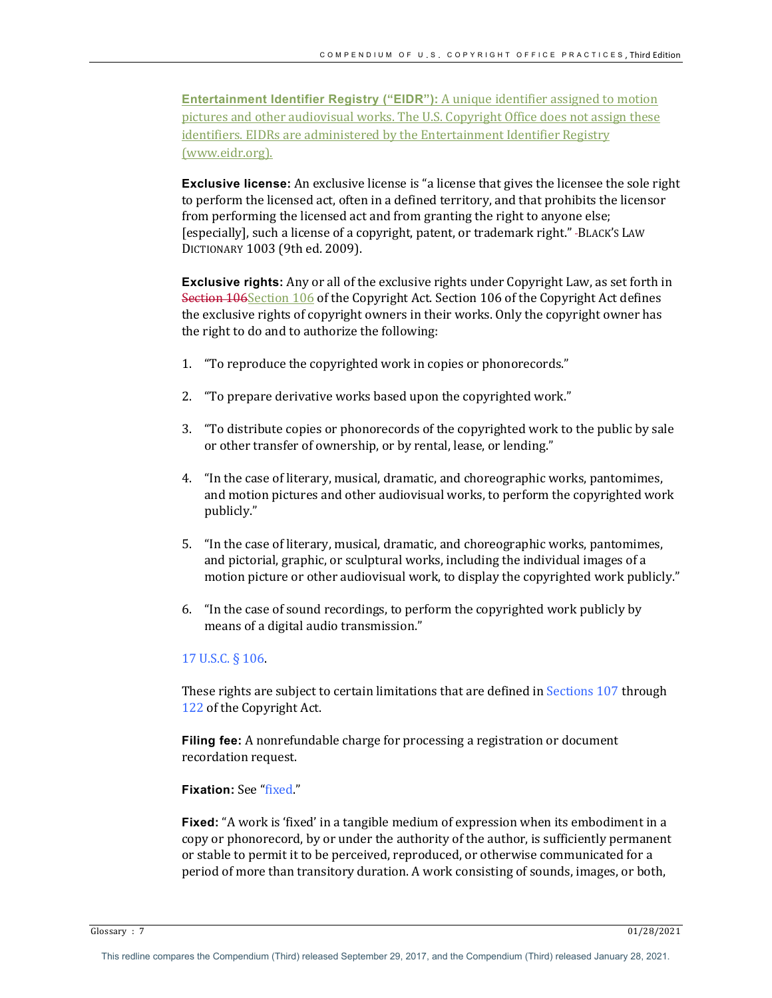**Entertainment Identifier Registry ("EIDR"):** A unique identifier assigned to motion pictures and other audiovisual works. The U.S. Copyright Office does not assign these identifiers. EIDRs are administered by the Entertainment Identifier Registry (www.eidr.org).

**Exclusive license:** An exclusive license is "a license that gives the licensee the sole right to perform the licensed act, often in a defined territory, and that prohibits the licensor from performing the licensed act and from granting the right to anyone else; [especially], such a license of a copyright, patent, or trademark right." -BLACK'S LAW DICTIONARY 1003 (9th ed. 2009).

**Exclusive rights:** Any or all of the exclusive rights under Copyright Law, as set forth in Section 106 Section 106 of the Copyright Act. Section 106 of the Copyright Act defines the exclusive rights of copyright owners in their works. Only the copyright owner has the right to do and to authorize the following:

- 1. "To reproduce the copyrighted work in copies or phonorecords."
- 2. "To prepare derivative works based upon the copyrighted work."
- 3. "To distribute copies or phonorecords of the copyrighted work to the public by sale or other transfer of ownership, or by rental, lease, or lending."
- 4. "In the case of literary, musical, dramatic, and choreographic works, pantomimes, and motion pictures and other audiovisual works, to perform the copyrighted work publicly."
- 5. "In the case of literary, musical, dramatic, and choreographic works, pantomimes, and pictorial, graphic, or sculptural works, including the individual images of a motion picture or other audiovisual work, to display the copyrighted work publicly."
- 6. "In the case of sound recordings, to perform the copyrighted work publicly by means of a digital audio transmission."

## 17 U.S.C. § 106.

These rights are subject to certain limitations that are defined in Sections  $107$  through 122 of the Copyright Act.

**Filing fee:** A nonrefundable charge for processing a registration or document recordation request.

## **Fixation:** See "fixed."

**Fixed:** "A work is 'fixed' in a tangible medium of expression when its embodiment in a copy or phonorecord, by or under the authority of the author, is sufficiently permanent or stable to permit it to be perceived, reproduced, or otherwise communicated for a period of more than transitory duration. A work consisting of sounds, images, or both,

Glossary :  $7$  01/28/2021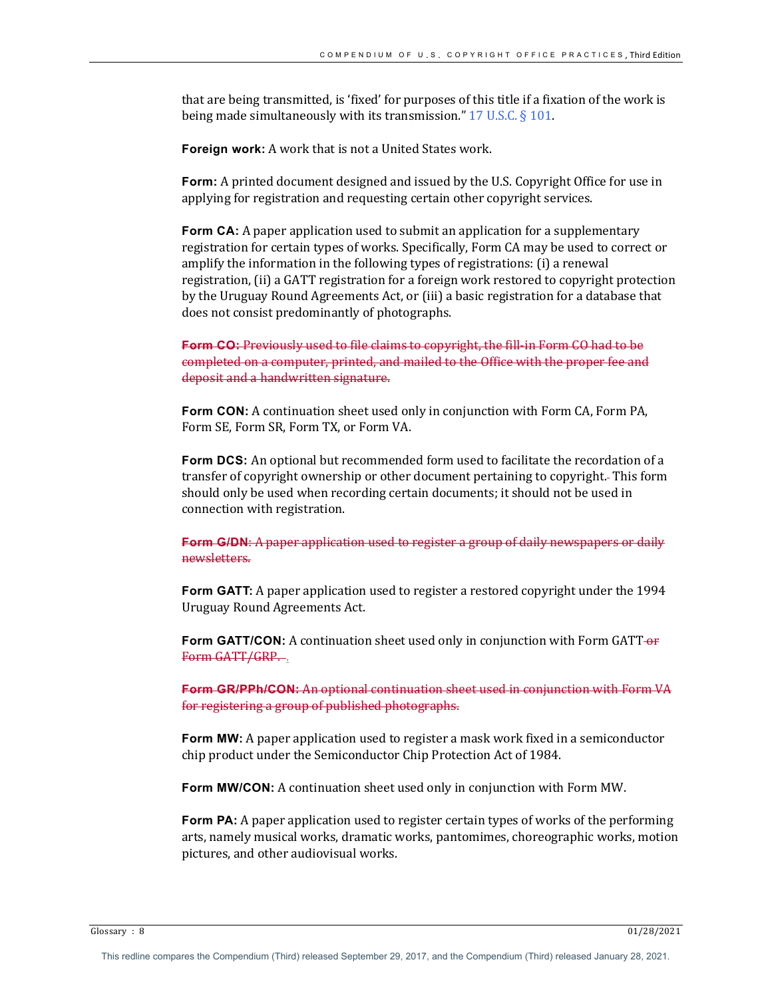that are being transmitted, is 'fixed' for purposes of this title if a fixation of the work is being made simultaneously with its transmission."  $17$  U.S.C. § 101.

**Foreign work:** A work that is not a United States work.

**Form:** A printed document designed and issued by the U.S. Copyright Office for use in applying for registration and requesting certain other copyright services.

**Form CA:** A paper application used to submit an application for a supplementary registration for certain types of works. Specifically, Form CA may be used to correct or amplify the information in the following types of registrations: (i) a renewal registration, (ii) a GATT registration for a foreign work restored to copyright protection by the Uruguay Round Agreements Act, or (iii) a basic registration for a database that does not consist predominantly of photographs.

**Form CO:** Previously used to file claims to copyright, the fill-in Form CO had to be completed on a computer, printed, and mailed to the Office with the proper fee and deposit and a handwritten signature.

**Form CON:** A continuation sheet used only in conjunction with Form CA, Form PA, Form SE, Form SR, Form TX, or Form VA.

**Form DCS:** An optional but recommended form used to facilitate the recordation of a transfer of copyright ownership or other document pertaining to copyright. This form should only be used when recording certain documents; it should not be used in connection with registration.

**Form G/DN:** A paper application used to register a group of daily newspapers or daily newsletters. 

**Form GATT:** A paper application used to register a restored copyright under the 1994 Uruguay Round Agreements Act.

**Form GATT/CON:** A continuation sheet used only in conjunction with Form GATT-or Form GATT/GRP.

**Form GR/PPh/CON:** An optional continuation sheet used in conjunction with Form VA for registering a group of published photographs.

**Form MW:** A paper application used to register a mask work fixed in a semiconductor chip product under the Semiconductor Chip Protection Act of 1984.

**Form MW/CON:** A continuation sheet used only in conjunction with Form MW.

**Form PA:** A paper application used to register certain types of works of the performing arts, namely musical works, dramatic works, pantomimes, choreographic works, motion pictures, and other audiovisual works.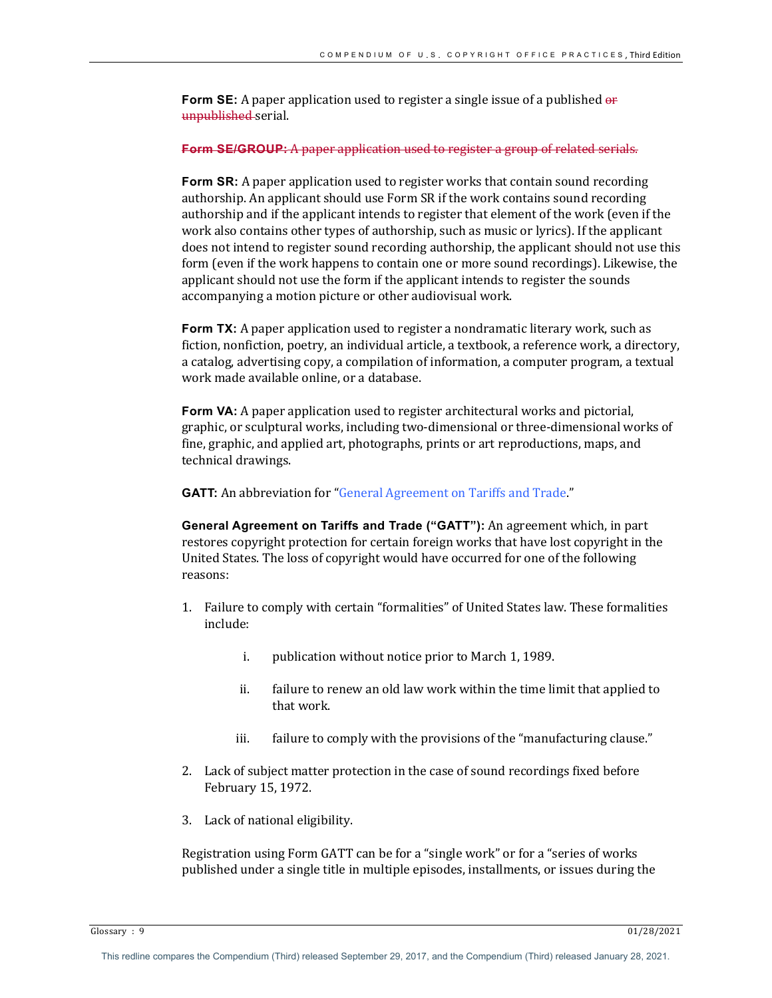**Form SE:** A paper application used to register a single issue of a published  $\theta$ unpublished serial.

#### **Form SE/GROUP:** A paper application used to register a group of related serials.

**Form SR:** A paper application used to register works that contain sound recording authorship. An applicant should use Form SR if the work contains sound recording authorship and if the applicant intends to register that element of the work (even if the work also contains other types of authorship, such as music or lyrics). If the applicant does not intend to register sound recording authorship, the applicant should not use this form (even if the work happens to contain one or more sound recordings). Likewise, the applicant should not use the form if the applicant intends to register the sounds accompanying a motion picture or other audiovisual work.

**Form TX:** A paper application used to register a nondramatic literary work, such as fiction, nonfiction, poetry, an individual article, a textbook, a reference work, a directory, a catalog, advertising copy, a compilation of information, a computer program, a textual work made available online, or a database.

**Form VA:** A paper application used to register architectural works and pictorial, graphic, or sculptural works, including two-dimensional or three-dimensional works of fine, graphic, and applied art, photographs, prints or art reproductions, maps, and technical drawings.

**GATT:** An abbreviation for "General Agreement on Tariffs and Trade."

General Agreement on Tariffs and Trade ("GATT"): An agreement which, in part restores copyright protection for certain foreign works that have lost copyright in the United States. The loss of copyright would have occurred for one of the following reasons:

- 1. Failure to comply with certain "formalities" of United States law. These formalities include:
	- i. publication without notice prior to March 1, 1989.
	- ii. failure to renew an old law work within the time limit that applied to that work.
	- iii. failure to comply with the provisions of the "manufacturing clause."
- 2. Lack of subject matter protection in the case of sound recordings fixed before February 15, 1972.
- 3. Lack of national eligibility.

Registration using Form GATT can be for a "single work" or for a "series of works published under a single title in multiple episodes, installments, or issues during the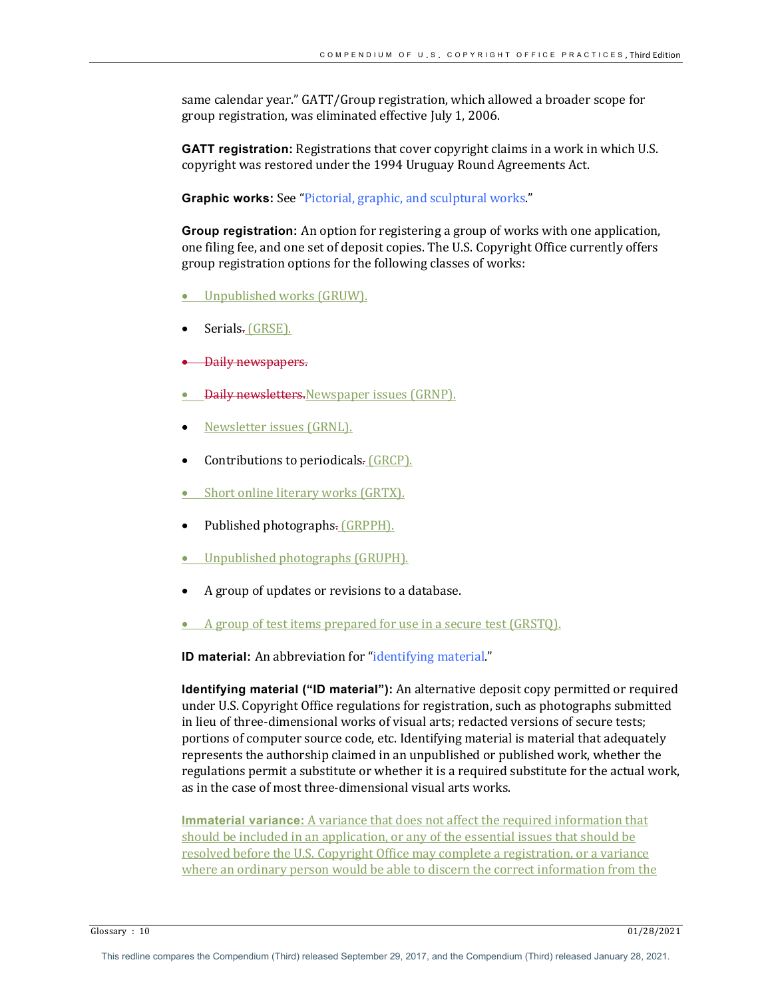same calendar year." GATT/Group registration, which allowed a broader scope for group registration, was eliminated effective July 1, 2006.

**GATT registration:** Registrations that cover copyright claims in a work in which U.S. copyright was restored under the 1994 Uruguay Round Agreements Act.

**Graphic works:** See "Pictorial, graphic, and sculptural works."

**Group registration:** An option for registering a group of works with one application, one filing fee, and one set of deposit copies. The U.S. Copyright Office currently offers group registration options for the following classes of works:

- Unpublished works (GRUW).
- Serials. (GRSE).
- **Daily newspapers.**
- **Daily newsletters.**Newspaper issues (GRNP).
- <u>Newsletter issues (GRNL).</u>
- Contributions to periodicals. (GRCP).
- Short online literary works (GRTX).
- Published photographs. (GRPPH).
- Unpublished photographs (GRUPH).
- A group of updates or revisions to a database.
- A group of test items prepared for use in a secure test (GRSTQ).

**ID material:** An abbreviation for "identifying material."

**Identifying material ("ID material"):** An alternative deposit copy permitted or required under U.S. Copyright Office regulations for registration, such as photographs submitted in lieu of three-dimensional works of visual arts; redacted versions of secure tests; portions of computer source code, etc. Identifying material is material that adequately represents the authorship claimed in an unpublished or published work, whether the regulations permit a substitute or whether it is a required substitute for the actual work, as in the case of most three-dimensional visual arts works.

**Immaterial variance:** A variance that does not affect the required information that should be included in an application, or any of the essential issues that should be resolved before the U.S. Copyright Office may complete a registration, or a variance where an ordinary person would be able to discern the correct information from the

Glossary :  $10$  01/28/2021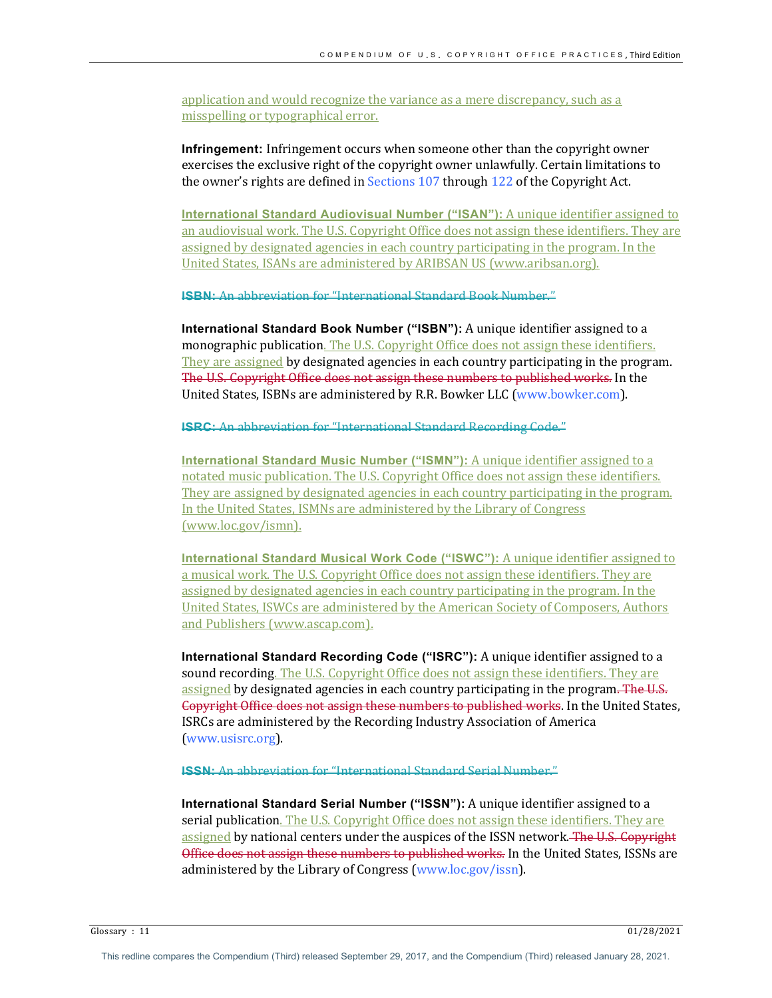application and would recognize the variance as a mere discrepancy, such as a misspelling or typographical error.

**Infringement:** Infringement occurs when someone other than the copyright owner exercises the exclusive right of the copyright owner unlawfully. Certain limitations to the owner's rights are defined in Sections  $107$  through  $122$  of the Copyright Act.

**International Standard Audiovisual Number ("ISAN"):** A unique identifier assigned to an audiovisual work. The U.S. Copyright Office does not assign these identifiers. They are assigned by designated agencies in each country participating in the program. In the United States, ISANs are administered by ARIBSAN US (www.aribsan.org).

**ISBN:** An abbreviation for "International Standard Rook Number."

**International Standard Book Number ("ISBN"):** A unique identifier assigned to a monographic publication. The U.S. Copyright Office does not assign these identifiers. They are assigned by designated agencies in each country participating in the program. The U.S. Copyright Office does not assign these numbers to published works. In the United States, ISBNs are administered by R.R. Bowker LLC (www.bowker.com).

**ISRC:** An abbreviation for "International Standard Recording Gode."

**International Standard Music Number ("ISMN"):** A unique identifier assigned to a notated music publication. The U.S. Copyright Office does not assign these identifiers. They are assigned by designated agencies in each country participating in the program. In the United States, ISMNs are administered by the Library of Congress (www.loc.gov/ismn).

**International Standard Musical Work Code ("ISWC"):** A unique identifier assigned to a musical work. The U.S. Copyright Office does not assign these identifiers. They are assigned by designated agencies in each country participating in the program. In the United States, ISWCs are administered by the American Society of Composers, Authors and Publishers (www.ascap.com).

**International Standard Recording Code ("ISRC"):** A unique identifier assigned to a sound recording. The U.S. Copyright Office does not assign these identifiers. They are assigned by designated agencies in each country participating in the program. The U.S. Gopyright Office does not assign these numbers to published works. In the United States, ISRCs are administered by the Recording Industry Association of America (www.usisrc.org).

**ISSN:** An abbreviation for "International Standard Serial Number."

**International Standard Serial Number ("ISSN"):** A unique identifier assigned to a serial publication. The U.S. Copyright Office does not assign these identifiers. They are assigned by national centers under the auspices of the ISSN network. The U.S. Copyright Office does not assign these numbers to published works. In the United States, ISSNs are administered by the Library of Congress (www.loc.gov/issn).

Glossary : 11  $01/28/2021$ 

This redline compares the Compendium (Third) released September 29, 2017, and the Compendium (Third) released January 28, 2021.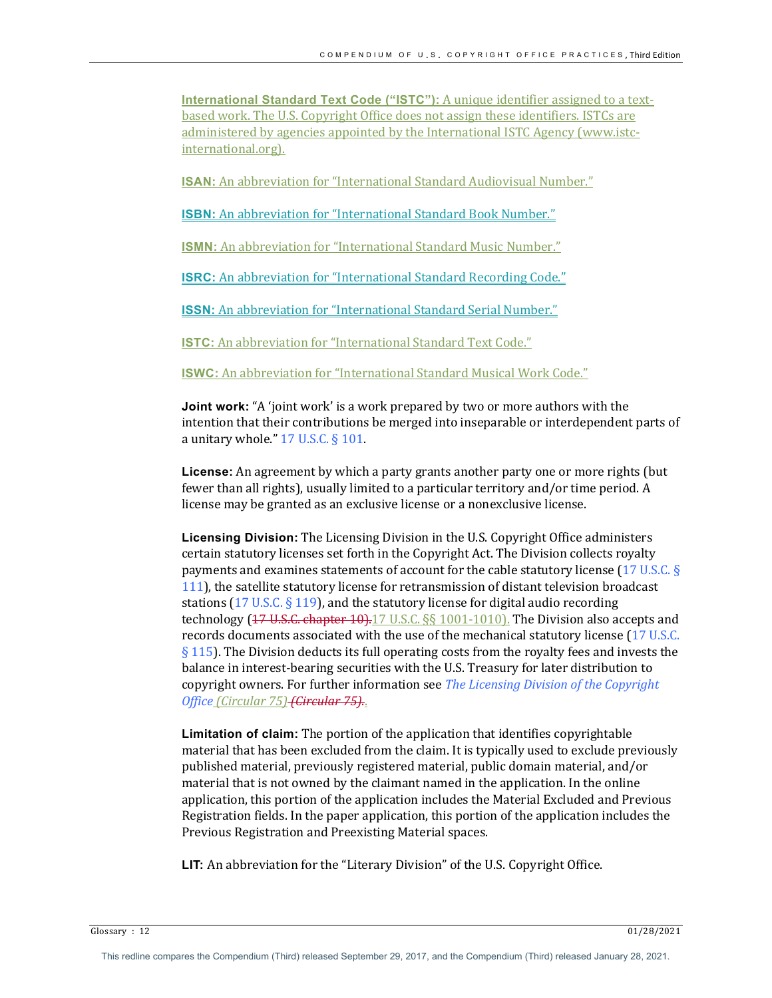**International Standard Text Code ("ISTC"):** A unique identifier assigned to a textbased work. The U.S. Copyright Office does not assign these identifiers. ISTCs are administered by agencies appointed by the International ISTC Agency (www.istcinternational.org). 

**ISAN:** An abbreviation for "International Standard Audiovisual Number."

**ISBN:** An abbreviation for "International Standard Book Number."

**ISMN:** An abbreviation for "International Standard Music Number."

**ISRC:** An abbreviation for "International Standard Recording Code."

**ISSN:** An abbreviation for "International Standard Serial Number."

**ISTC:** An abbreviation for "International Standard Text Code."

**ISWC:** An abbreviation for "International Standard Musical Work Code."

**Joint work:** "A 'joint work' is a work prepared by two or more authors with the intention that their contributions be merged into inseparable or interdependent parts of a unitary whole."  $17$  U.S.C. §  $101$ .

**License:** An agreement by which a party grants another party one or more rights (but fewer than all rights), usually limited to a particular territory and/or time period. A license may be granted as an exclusive license or a nonexclusive license.

Licensing Division: The Licensing Division in the U.S. Copyright Office administers certain statutory licenses set forth in the Copyright Act. The Division collects royalty payments and examines statements of account for the cable statutory license  $(17 \text{ U.S.C.} \text{S})$ 111), the satellite statutory license for retransmission of distant television broadcast stations (17 U.S.C. § 119), and the statutory license for digital audio recording technology  $(17.0, 5.0, 4.0)$  and  $(17.0, 17.0, 17.0, 17.0, 16.0)$ . The Division also accepts and records documents associated with the use of the mechanical statutory license (17 U.S.C.  $\S$  115). The Division deducts its full operating costs from the royalty fees and invests the balance in interest-bearing securities with the U.S. Treasury for later distribution to copyright owners. For further information see *The Licensing Division of the Copyright Office (Circular 75) (Circular 75)*..

**Limitation of claim:** The portion of the application that identifies copyrightable material that has been excluded from the claim. It is typically used to exclude previously published material, previously registered material, public domain material, and/or material that is not owned by the claimant named in the application. In the online application, this portion of the application includes the Material Excluded and Previous Registration fields. In the paper application, this portion of the application includes the Previous Registration and Preexisting Material spaces.

**LIT:** An abbreviation for the "Literary Division" of the U.S. Copyright Office.

Glossary :  $12$  01/28/2021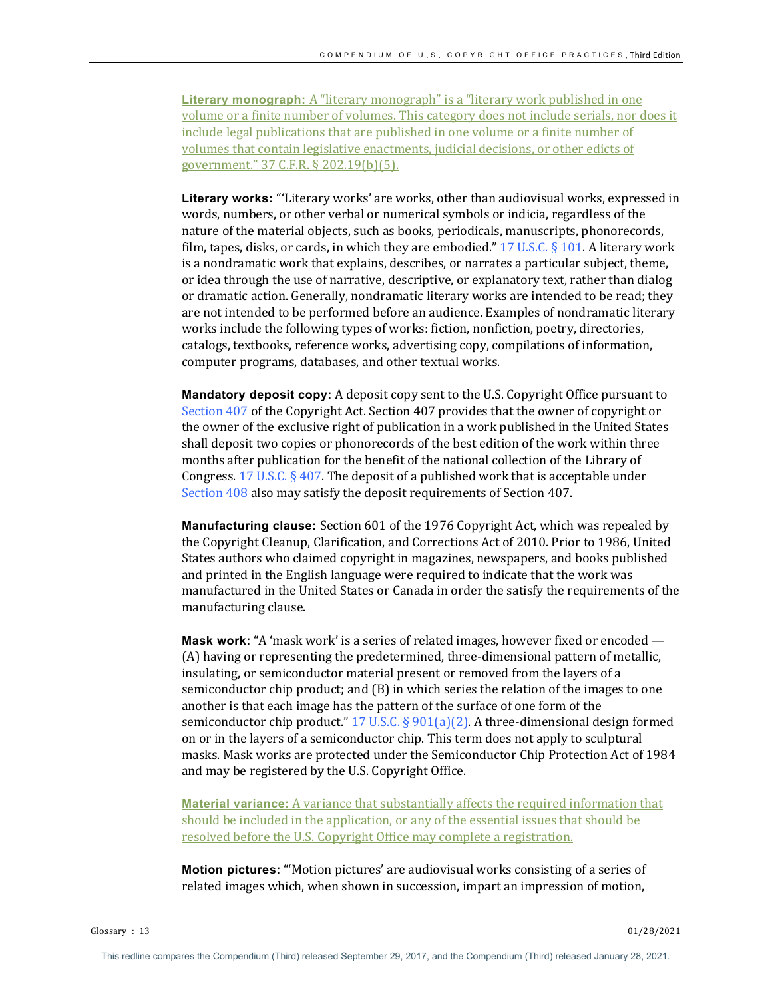**Literary monograph:** A "literary monograph" is a "literary work published in one volume or a finite number of volumes. This category does not include serials, nor does it include legal publications that are published in one volume or a finite number of volumes that contain legislative enactments, judicial decisions, or other edicts of government." 37 C.F.R. § 202.19(b)(5).

Literary works: "'Literary works' are works, other than audiovisual works, expressed in words, numbers, or other verbal or numerical symbols or indicia, regardless of the nature of the material objects, such as books, periodicals, manuscripts, phonorecords, film, tapes, disks, or cards, in which they are embodied."  $17 \text{ U.S.C.} \S 101$ . A literary work is a nondramatic work that explains, describes, or narrates a particular subject, theme, or idea through the use of narrative, descriptive, or explanatory text, rather than dialog or dramatic action. Generally, nondramatic literary works are intended to be read; they are not intended to be performed before an audience. Examples of nondramatic literary works include the following types of works: fiction, nonfiction, poetry, directories, catalogs, textbooks, reference works, advertising copy, compilations of information, computer programs, databases, and other textual works.

**Mandatory deposit copy:** A deposit copy sent to the U.S. Copyright Office pursuant to Section  $407$  of the Copyright Act. Section  $407$  provides that the owner of copyright or the owner of the exclusive right of publication in a work published in the United States shall deposit two copies or phonorecords of the best edition of the work within three months after publication for the benefit of the national collection of the Library of Congress.  $17 \text{ U.S.C.}$  § 407. The deposit of a published work that is acceptable under Section 408 also may satisfy the deposit requirements of Section 407.

**Manufacturing clause:** Section 601 of the 1976 Copyright Act, which was repealed by the Copyright Cleanup, Clarification, and Corrections Act of 2010. Prior to 1986, United States authors who claimed copyright in magazines, newspapers, and books published and printed in the English language were required to indicate that the work was manufactured in the United States or Canada in order the satisfy the requirements of the manufacturing clause.

**Mask work:** "A 'mask work' is a series of related images, however fixed or encoded — (A) having or representing the predetermined, three-dimensional pattern of metallic, insulating, or semiconductor material present or removed from the layers of a semiconductor chip product; and  $(B)$  in which series the relation of the images to one another is that each image has the pattern of the surface of one form of the semiconductor chip product."  $17 \text{ U.S.C.}$  §  $901(a)(2)$ . A three-dimensional design formed on or in the layers of a semiconductor chip. This term does not apply to sculptural masks. Mask works are protected under the Semiconductor Chip Protection Act of 1984 and may be registered by the U.S. Copyright Office.

**Material variance:** A variance that substantially affects the required information that should be included in the application, or any of the essential issues that should be resolved before the U.S. Copyright Office may complete a registration.

**Motion pictures:** "'Motion pictures' are audiovisual works consisting of a series of related images which, when shown in succession, impart an impression of motion,

Glossary :  $13$  01/28/2021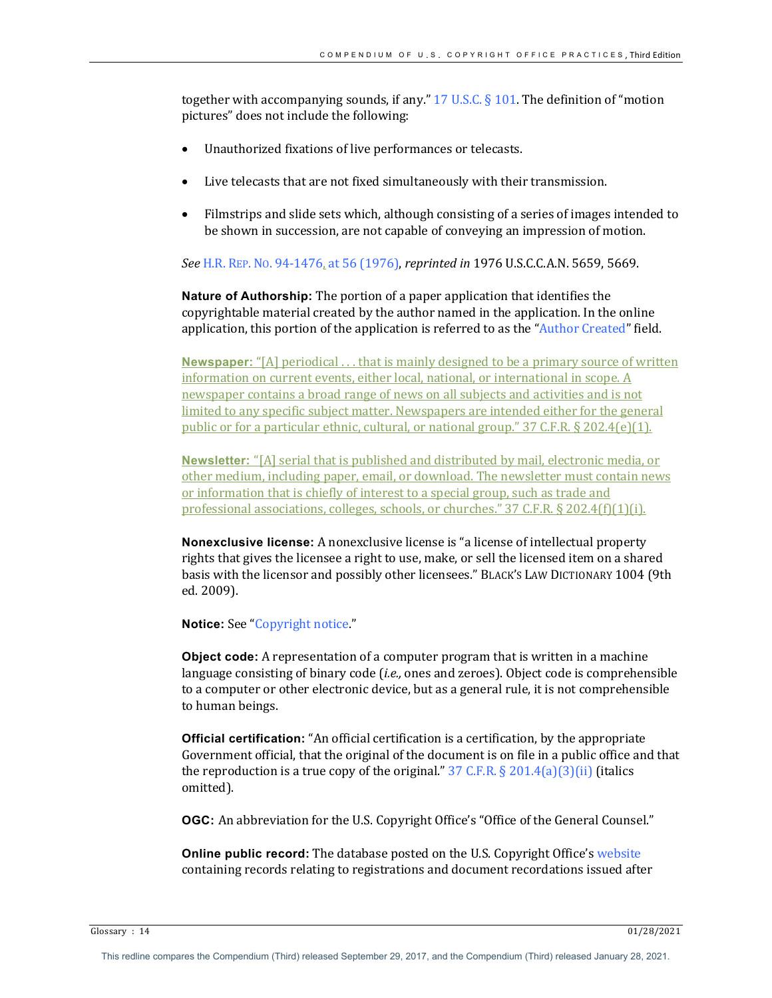together with accompanying sounds, if any."  $17 \text{ U.S.C.} \S 101$ . The definition of "motion pictures" does not include the following:

- Unauthorized fixations of live performances or telecasts.
- Live telecasts that are not fixed simultaneously with their transmission.
- Filmstrips and slide sets which, although consisting of a series of images intended to be shown in succession, are not capable of conveying an impression of motion.

*See* H.R. REP. No. 94-1476, at 56 (1976), *reprinted in* 1976 U.S.C.C.A.N. 5659, 5669.

**Nature of Authorship:** The portion of a paper application that identifies the copyrightable material created by the author named in the application. In the online application, this portion of the application is referred to as the "Author Created" field.

**Newspaper:** "[A] periodical ... that is mainly designed to be a primary source of written information on current events, either local, national, or international in scope. A newspaper contains a broad range of news on all subjects and activities and is not limited to any specific subject matter. Newspapers are intended either for the general public or for a particular ethnic, cultural, or national group."  $37$  C.F.R. § 202.4(e)(1).

**Newsletter:** "[A] serial that is published and distributed by mail, electronic media, or other medium, including paper, email, or download. The newsletter must contain news or information that is chiefly of interest to a special group, such as trade and professional associations, colleges, schools, or churches."  $37$  C.F.R.  $\S 202.4(f)(1)(i)$ .

**Nonexclusive license:** A nonexclusive license is "a license of intellectual property rights that gives the licensee a right to use, make, or sell the licensed item on a shared basis with the licensor and possibly other licensees." BLACK'S LAW DICTIONARY 1004 (9th ed. 2009).

**Notice:** See "Copyright notice."

**Object code:** A representation of a computer program that is written in a machine language consisting of binary code *(i.e.,* ones and zeroes). Object code is comprehensible to a computer or other electronic device, but as a general rule, it is not comprehensible to human beings.

**Official certification:** "An official certification is a certification, by the appropriate Government official, that the original of the document is on file in a public office and that the reproduction is a true copy of the original."  $37 \text{ C.F.R.} \S 201.4(a)(3)(ii)$  (italics omitted). 

**OGC:** An abbreviation for the U.S. Copyright Office's "Office of the General Counsel."

**Online public record:** The database posted on the U.S. Copyright Office's website containing records relating to registrations and document recordations issued after

Glossary :  $14$  01/28/2021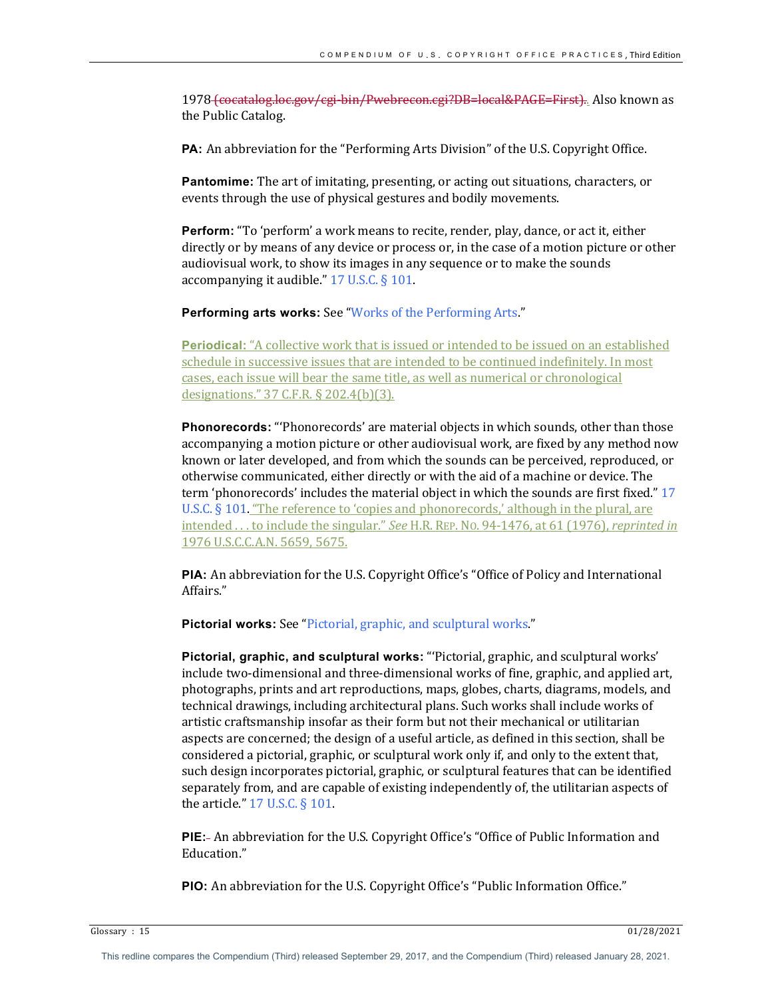1978 (cocatalog.loc.gov/cgi-bin/Pwebrecon.cgi?DB=local&PAGE=First).. Also known as the Public Catalog.

**PA:** An abbreviation for the "Performing Arts Division" of the U.S. Copyright Office.

**Pantomime:** The art of imitating, presenting, or acting out situations, characters, or events through the use of physical gestures and bodily movements.

**Perform:** "To 'perform' a work means to recite, render, play, dance, or act it, either directly or by means of any device or process or, in the case of a motion picture or other audiovisual work, to show its images in any sequence or to make the sounds accompanying it audible."  $17$  U.S.C. § 101.

**Performing arts works:** See "Works of the Performing Arts."

**Periodical:** "A collective work that is issued or intended to be issued on an established schedule in successive issues that are intended to be continued indefinitely. In most cases, each issue will bear the same title, as well as numerical or chronological designations." 37 C.F.R. § 202.4(b)(3).

**Phonorecords:** "Phonorecords' are material objects in which sounds, other than those accompanying a motion picture or other audiovisual work, are fixed by any method now known or later developed, and from which the sounds can be perceived, reproduced, or otherwise communicated, either directly or with the aid of a machine or device. The term 'phonorecords' includes the material object in which the sounds are first fixed." 17 U.S.C.  $\S$  101. "The reference to 'copies and phonorecords,' although in the plural, are intended ... to include the singular." See H.R. REP. No. 94-1476, at 61 (1976), *reprinted in* 1976 U.S.C.C.A.N. 5659, 5675.

**PIA:** An abbreviation for the U.S. Copyright Office's "Office of Policy and International Affairs."

**Pictorial works:** See "Pictorial, graphic, and sculptural works."

Pictorial, graphic, and sculptural works: "'Pictorial, graphic, and sculptural works' include two-dimensional and three-dimensional works of fine, graphic, and applied art, photographs, prints and art reproductions, maps, globes, charts, diagrams, models, and technical drawings, including architectural plans. Such works shall include works of artistic craftsmanship insofar as their form but not their mechanical or utilitarian aspects are concerned; the design of a useful article, as defined in this section, shall be considered a pictorial, graphic, or sculptural work only if, and only to the extent that, such design incorporates pictorial, graphic, or sculptural features that can be identified separately from, and are capable of existing independently of, the utilitarian aspects of the article."  $17$  U.S.C. § 101.

**PIE:** An abbreviation for the U.S. Copyright Office's "Office of Public Information and Education."

**PIO:** An abbreviation for the U.S. Copyright Office's "Public Information Office."

Glossary : 15  $01/28/2021$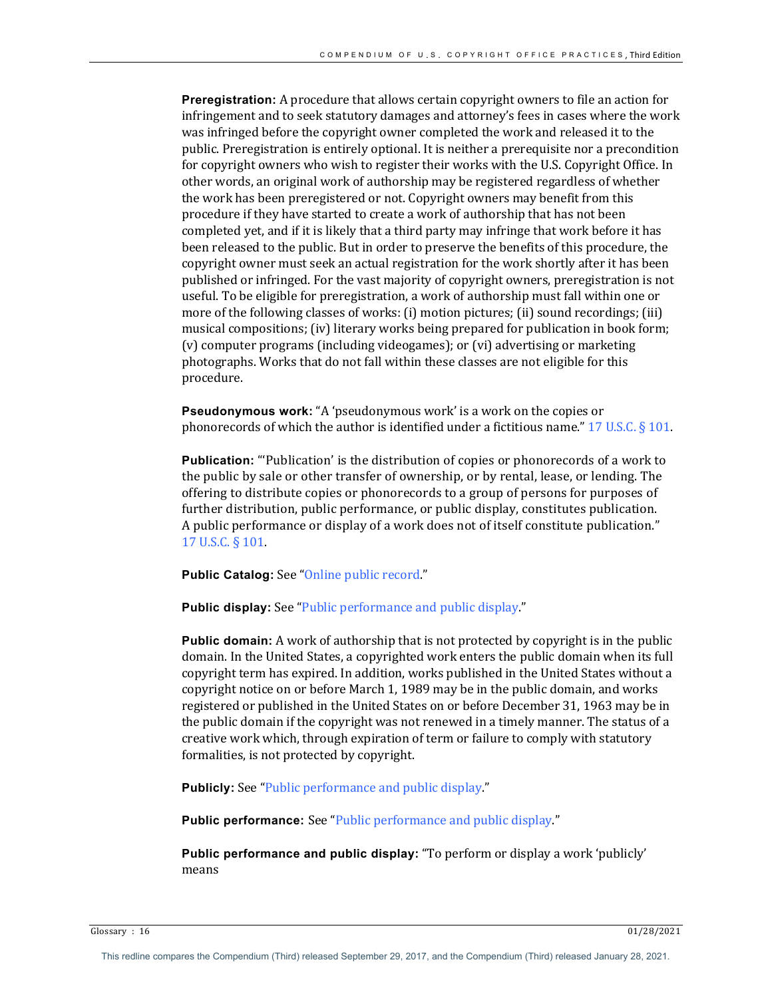**Preregistration:** A procedure that allows certain copyright owners to file an action for infringement and to seek statutory damages and attorney's fees in cases where the work was infringed before the copyright owner completed the work and released it to the public. Preregistration is entirely optional. It is neither a prerequisite nor a precondition for copyright owners who wish to register their works with the U.S. Copyright Office. In other words, an original work of authorship may be registered regardless of whether the work has been preregistered or not. Copyright owners may benefit from this procedure if they have started to create a work of authorship that has not been completed yet, and if it is likely that a third party may infringe that work before it has been released to the public. But in order to preserve the benefits of this procedure, the copyright owner must seek an actual registration for the work shortly after it has been published or infringed. For the vast majority of copyright owners, preregistration is not useful. To be eligible for preregistration, a work of authorship must fall within one or more of the following classes of works:  $(i)$  motion pictures;  $(ii)$  sound recordings;  $(iii)$ musical compositions; (iv) literary works being prepared for publication in book form; (v) computer programs (including videogames); or (vi) advertising or marketing photographs. Works that do not fall within these classes are not eligible for this procedure.

**Pseudonymous work:** "A 'pseudonymous work' is a work on the copies or phonorecords of which the author is identified under a fictitious name." 17 U.S.C.  $\S$  101.

**Publication:** "'Publication' is the distribution of copies or phonorecords of a work to the public by sale or other transfer of ownership, or by rental, lease, or lending. The offering to distribute copies or phonorecords to a group of persons for purposes of further distribution, public performance, or public display, constitutes publication. A public performance or display of a work does not of itself constitute publication." 17 U.S.C. § 101.

**Public Catalog:** See "Online public record."

**Public display:** See "Public performance and public display."

**Public domain:** A work of authorship that is not protected by copyright is in the public domain. In the United States, a copyrighted work enters the public domain when its full copyright term has expired. In addition, works published in the United States without a copyright notice on or before March 1, 1989 may be in the public domain, and works registered or published in the United States on or before December 31, 1963 may be in the public domain if the copyright was not renewed in a timely manner. The status of a creative work which, through expiration of term or failure to comply with statutory formalities, is not protected by copyright.

**Publicly:** See "Public performance and public display."

**Public performance:** See "Public performance and public display."

**Public performance and public display:** "To perform or display a work 'publicly' means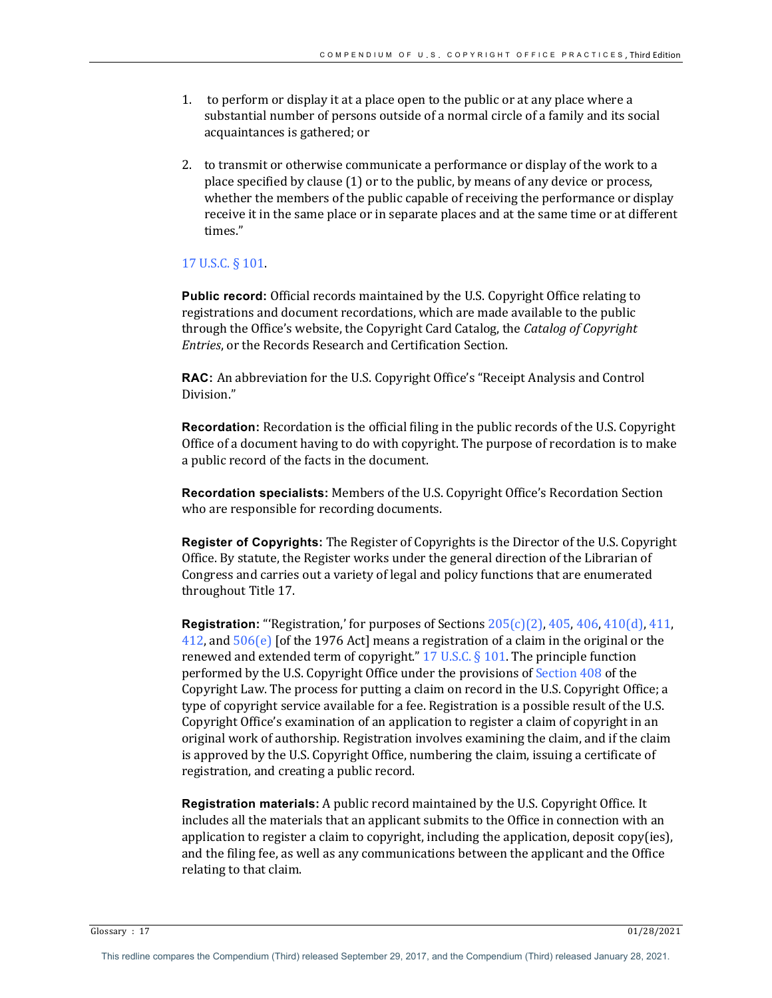- 1. to perform or display it at a place open to the public or at any place where a substantial number of persons outside of a normal circle of a family and its social acquaintances is gathered; or
- 2. to transmit or otherwise communicate a performance or display of the work to a place specified by clause  $(1)$  or to the public, by means of any device or process, whether the members of the public capable of receiving the performance or display receive it in the same place or in separate places and at the same time or at different times."

## 17 U.S.C. § 101.

**Public record:** Official records maintained by the U.S. Copyright Office relating to registrations and document recordations, which are made available to the public through the Office's website, the Copyright Card Catalog, the *Catalog of Copyright Entries*, or the Records Research and Certification Section.

**RAC:** An abbreviation for the U.S. Copyright Office's "Receipt Analysis and Control Division."

**Recordation:** Recordation is the official filing in the public records of the U.S. Copyright Office of a document having to do with copyright. The purpose of recordation is to make a public record of the facts in the document.

**Recordation specialists:** Members of the U.S. Copyright Office's Recordation Section who are responsible for recording documents.

**Register of Copyrights:** The Register of Copyrights is the Director of the U.S. Copyright Office. By statute, the Register works under the general direction of the Librarian of Congress and carries out a variety of legal and policy functions that are enumerated throughout Title 17.

**Registration:** "'Registration,' for purposes of Sections  $205(c)(2)$ , 405, 406, 410(d), 411,  $412$ , and  $506(e)$  [of the 1976 Act] means a registration of a claim in the original or the renewed and extended term of copyright."  $17$  U.S.C. § 101. The principle function performed by the U.S. Copyright Office under the provisions of Section 408 of the Copyright Law. The process for putting a claim on record in the U.S. Copyright Office; a type of copyright service available for a fee. Registration is a possible result of the U.S. Copyright Office's examination of an application to register a claim of copyright in an original work of authorship. Registration involves examining the claim, and if the claim is approved by the U.S. Copyright Office, numbering the claim, issuing a certificate of registration, and creating a public record.

**Registration materials:** A public record maintained by the U.S. Copyright Office. It includes all the materials that an applicant submits to the Office in connection with an application to register a claim to copyright, including the application, deposit copy(ies), and the filing fee, as well as any communications between the applicant and the Office relating to that claim.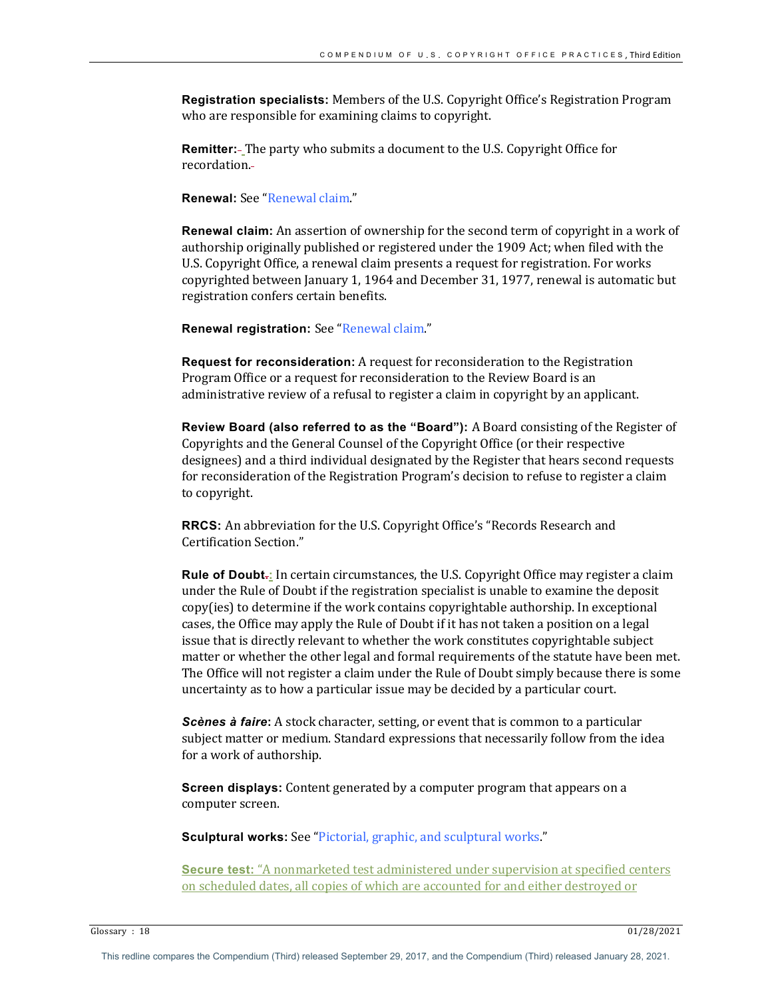**Registration specialists:** Members of the U.S. Copyright Office's Registration Program who are responsible for examining claims to copyright.

**Remitter:** The party who submits a document to the U.S. Copyright Office for recordation.

**Renewal:** See "Renewal claim."

**Renewal claim:** An assertion of ownership for the second term of copyright in a work of authorship originally published or registered under the 1909 Act; when filed with the U.S. Copyright Office, a renewal claim presents a request for registration. For works copyrighted between January 1, 1964 and December 31, 1977, renewal is automatic but registration confers certain benefits.

**Renewal registration:** See "Renewal claim."

**Request for reconsideration:** A request for reconsideration to the Registration Program Office or a request for reconsideration to the Review Board is an administrative review of a refusal to register a claim in copyright by an applicant.

**Review Board (also referred to as the "Board"):** A Board consisting of the Register of Copyrights and the General Counsel of the Copyright Office (or their respective designees) and a third individual designated by the Register that hears second requests for reconsideration of the Registration Program's decision to refuse to register a claim to copyright.

**RRCS:** An abbreviation for the U.S. Copyright Office's "Records Research and Certification Section."

**Rule of Doubt.**: In certain circumstances, the U.S. Copyright Office may register a claim under the Rule of Doubt if the registration specialist is unable to examine the deposit  $copy(ies)$  to determine if the work contains copyrightable authorship. In exceptional cases, the Office may apply the Rule of Doubt if it has not taken a position on a legal issue that is directly relevant to whether the work constitutes copyrightable subject matter or whether the other legal and formal requirements of the statute have been met. The Office will not register a claim under the Rule of Doubt simply because there is some uncertainty as to how a particular issue may be decided by a particular court.

**Scènes à faire:** A stock character, setting, or event that is common to a particular subject matter or medium. Standard expressions that necessarily follow from the idea for a work of authorship.

**Screen displays:** Content generated by a computer program that appears on a computer screen.

**Sculptural works:** See "Pictorial, graphic, and sculptural works."

**Secure test:** "A nonmarketed test administered under supervision at specified centers on scheduled dates, all copies of which are accounted for and either destroyed or

Glossary :  $18$  01/28/2021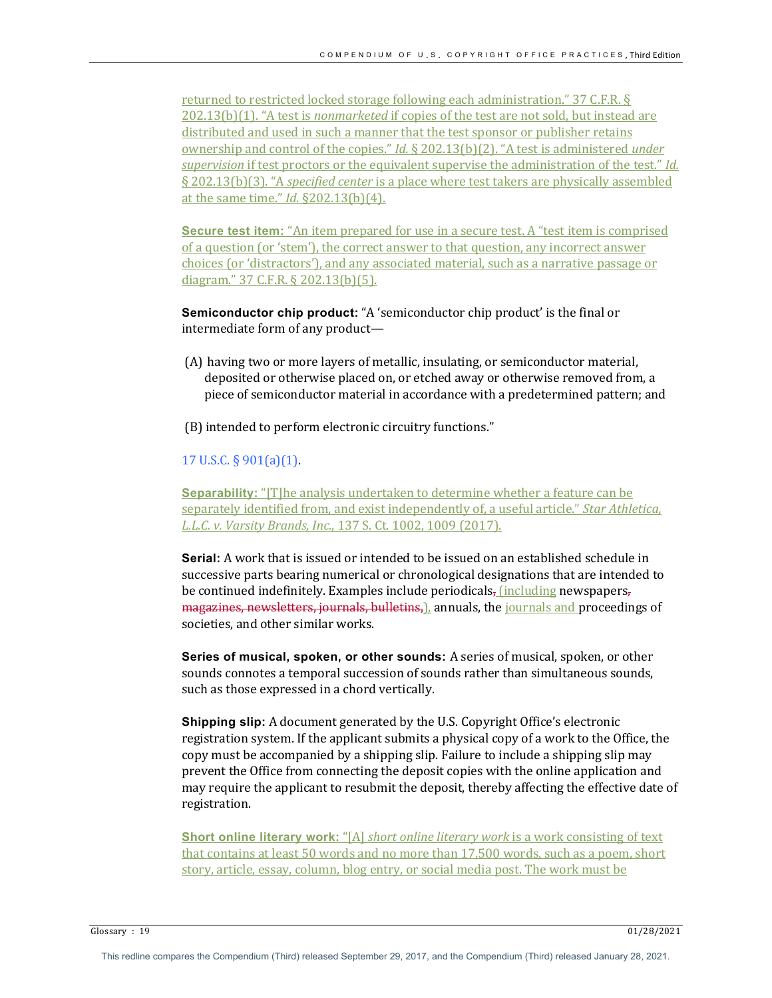returned to restricted locked storage following each administration." 37 C.F.R. § 202.13(b)(1). "A test is *nonmarketed* if copies of the test are not sold, but instead are distributed and used in such a manner that the test sponsor or publisher retains ownership and control of the copies." *Id.* § 202.13(b)(2). "A test is administered *under supervision* if test proctors or the equivalent supervise the administration of the test." *Id.* § 202.13(b)(3). "A *specified center* is a place where test takers are physically assembled at the same time." *Id.* §202.13(b)(4).

**Secure test item:** "An item prepared for use in a secure test. A "test item is comprised of a question (or 'stem'), the correct answer to that question, any incorrect answer choices (or 'distractors'), and any associated material, such as a narrative passage or diagram." 37 C.F.R. § 202.13(b)(5).

**Semiconductor chip product:** "A 'semiconductor chip product' is the final or  $intermediate form of any product$ —

- (A) having two or more layers of metallic, insulating, or semiconductor material, deposited or otherwise placed on, or etched away or otherwise removed from, a piece of semiconductor material in accordance with a predetermined pattern; and
- (B) intended to perform electronic circuitry functions."

## $17 \text{ U.S.C.}$  §  $901(a)(1)$ .

**Separability:** "[T]he analysis undertaken to determine whether a feature can be separately identified from, and exist independently of, a useful article." *Star Athletica*, *L.L.C. v. Varsity Brands, Inc.,* 137 S. Ct. 1002, 1009 (2017).

**Serial:** A work that is issued or intended to be issued on an established schedule in successive parts bearing numerical or chronological designations that are intended to be continued indefinitely. Examples include periodicals, (including newspapers, magazines, newsletters, journals, bulletins,), annuals, the journals and proceedings of societies, and other similar works.

**Series of musical, spoken, or other sounds:** A series of musical, spoken, or other sounds connotes a temporal succession of sounds rather than simultaneous sounds, such as those expressed in a chord vertically.

**Shipping slip:** A document generated by the U.S. Copyright Office's electronic registration system. If the applicant submits a physical copy of a work to the Office, the copy must be accompanied by a shipping slip. Failure to include a shipping slip may prevent the Office from connecting the deposit copies with the online application and may require the applicant to resubmit the deposit, thereby affecting the effective date of registration.

**Short online literary work:** "[A] *short online literary work* is a work consisting of text that contains at least 50 words and no more than 17,500 words, such as a poem, short story, article, essay, column, blog entry, or social media post. The work must be

Glossary :  $19$  01/28/2021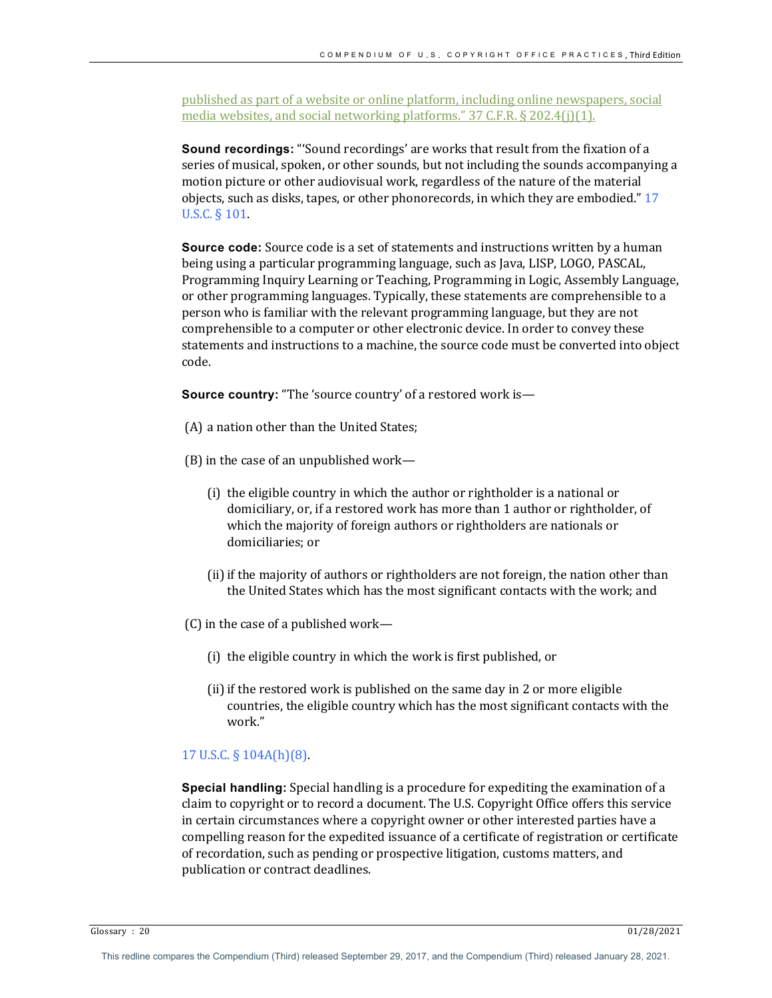published as part of a website or online platform, including online newspapers, social media websites, and social networking platforms."  $37$  C.F.R. § 202.4(j)(1).

**Sound recordings:** "Sound recordings' are works that result from the fixation of a series of musical, spoken, or other sounds, but not including the sounds accompanying a motion picture or other audiovisual work, regardless of the nature of the material objects, such as disks, tapes, or other phonorecords, in which they are embodied." 17 U.S.C. § 101.

**Source code:** Source code is a set of statements and instructions written by a human being using a particular programming language, such as Java, LISP, LOGO, PASCAL, Programming Inquiry Learning or Teaching, Programming in Logic, Assembly Language, or other programming languages. Typically, these statements are comprehensible to a person who is familiar with the relevant programming language, but they are not comprehensible to a computer or other electronic device. In order to convey these statements and instructions to a machine, the source code must be converted into object code.

**Source country:** "The 'source country' of a restored work is-

- (A) a nation other than the United States;
- (B) in the case of an unpublished work-
	- (i) the eligible country in which the author or rightholder is a national or domiciliary, or, if a restored work has more than 1 author or rightholder, of which the majority of foreign authors or rightholders are nationals or domiciliaries; or
	- (ii) if the majority of authors or rightholders are not foreign, the nation other than the United States which has the most significant contacts with the work; and
- $(C)$  in the case of a published work—
	- (i) the eligible country in which the work is first published, or
	- (ii) if the restored work is published on the same day in 2 or more eligible countries, the eligible country which has the most significant contacts with the work."

## 17 U.S.C. § 104A(h)(8).

**Special handling:** Special handling is a procedure for expediting the examination of a claim to copyright or to record a document. The U.S. Copyright Office offers this service in certain circumstances where a copyright owner or other interested parties have a compelling reason for the expedited issuance of a certificate of registration or certificate of recordation, such as pending or prospective litigation, customs matters, and publication or contract deadlines.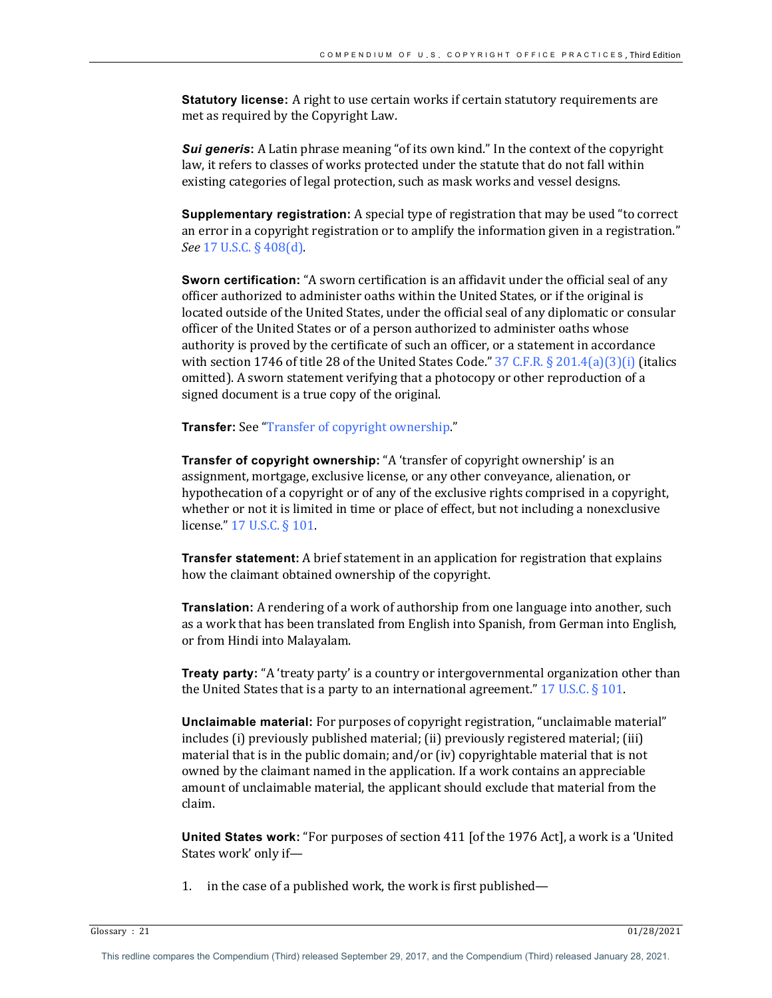**Statutory license:** A right to use certain works if certain statutory requirements are met as required by the Copyright Law.

**Sui generis:** A Latin phrase meaning "of its own kind." In the context of the copyright law, it refers to classes of works protected under the statute that do not fall within existing categories of legal protection, such as mask works and vessel designs.

**Supplementary registration:** A special type of registration that may be used "to correct an error in a copyright registration or to amplify the information given in a registration." *See* 17 U.S.C. § 408(d).

**Sworn certification:** "A sworn certification is an affidavit under the official seal of any officer authorized to administer oaths within the United States, or if the original is located outside of the United States, under the official seal of any diplomatic or consular officer of the United States or of a person authorized to administer oaths whose authority is proved by the certificate of such an officer, or a statement in accordance with section 1746 of title 28 of the United States Code."  $37$  C.F.R.  $\S 201.4(a)(3)(i)$  (italics omitted). A sworn statement verifying that a photocopy or other reproduction of a signed document is a true copy of the original.

**Transfer:** See "Transfer of copyright ownership."

**Transfer of copyright ownership:** "A 'transfer of copyright ownership' is an assignment, mortgage, exclusive license, or any other conveyance, alienation, or hypothecation of a copyright or of any of the exclusive rights comprised in a copyright, whether or not it is limited in time or place of effect, but not including a nonexclusive license." 17 U.S.C. § 101.

**Transfer statement:** A brief statement in an application for registration that explains how the claimant obtained ownership of the copyright.

**Translation:** A rendering of a work of authorship from one language into another, such as a work that has been translated from English into Spanish, from German into English, or from Hindi into Malayalam.

**Treaty party:** "A 'treaty party' is a country or intergovernmental organization other than the United States that is a party to an international agreement."  $17$  U.S.C. § 101.

**Unclaimable material:** For purposes of copyright registration, "unclaimable material" includes (i) previously published material; (ii) previously registered material; (iii) material that is in the public domain; and/or (iv) copyrightable material that is not owned by the claimant named in the application. If a work contains an appreciable amount of unclaimable material, the applicant should exclude that material from the claim.

**United States work:** "For purposes of section 411 [of the 1976 Act], a work is a 'United States work' only if-

1. in the case of a published work, the work is first published—

Glossary : 21  $01/28/2021$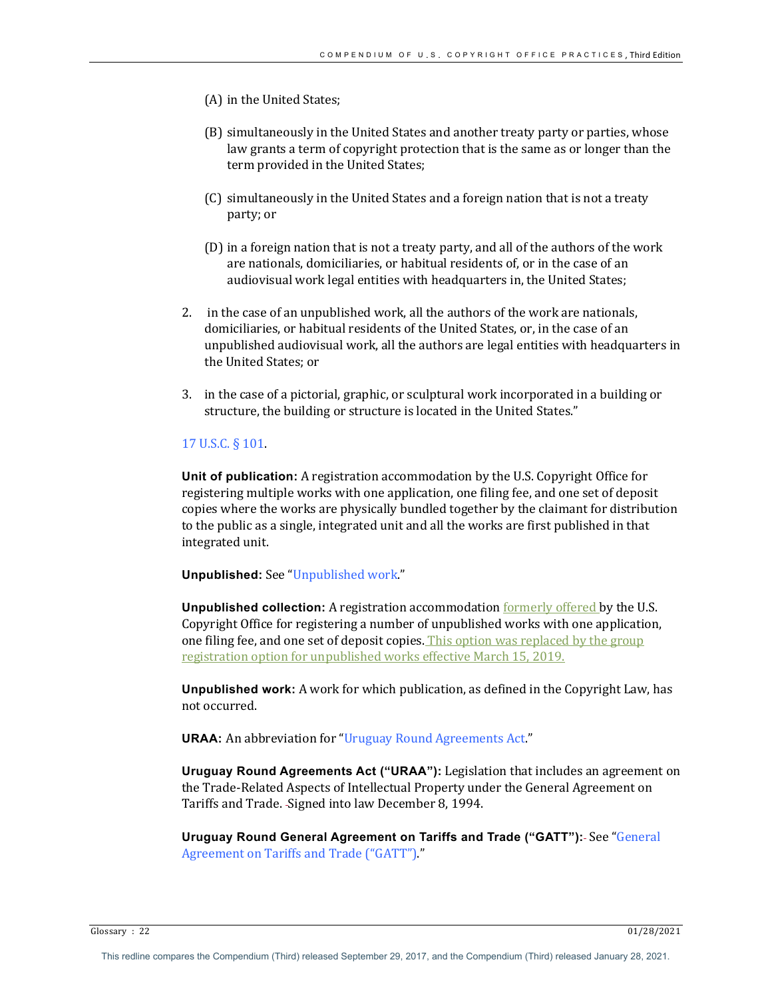- (A) in the United States;
- (B) simultaneously in the United States and another treaty party or parties, whose law grants a term of copyright protection that is the same as or longer than the term provided in the United States;
- (C) simultaneously in the United States and a foreign nation that is not a treaty party; or
- (D) in a foreign nation that is not a treaty party, and all of the authors of the work are nationals, domiciliaries, or habitual residents of, or in the case of an audiovisual work legal entities with headquarters in, the United States;
- 2. in the case of an unpublished work, all the authors of the work are nationals, domiciliaries, or habitual residents of the United States, or, in the case of an unpublished audiovisual work, all the authors are legal entities with headquarters in the United States; or
- 3. in the case of a pictorial, graphic, or sculptural work incorporated in a building or structure, the building or structure is located in the United States."

## 17 U.S.C. § 101.

**Unit of publication:** A registration accommodation by the U.S. Copyright Office for registering multiple works with one application, one filing fee, and one set of deposit copies where the works are physically bundled together by the claimant for distribution to the public as a single, integrated unit and all the works are first published in that integrated unit.

**Unpublished:** See "Unpublished work."

**Unpublished collection:** A registration accommodation <u>formerly offered</u> by the U.S. Copyright Office for registering a number of unpublished works with one application, one filing fee, and one set of deposit copies. This option was replaced by the group registration option for unpublished works effective March 15, 2019.

**Unpublished work:** A work for which publication, as defined in the Copyright Law, has not occurred.

**URAA:** An abbreviation for "Uruguay Round Agreements Act."

**Uruguay Round Agreements Act ("URAA"):** Legislation that includes an agreement on the Trade-Related Aspects of Intellectual Property under the General Agreement on Tariffs and Trade. -Signed into law December 8, 1994.

**Uruguay Round General Agreement on Tariffs and Trade ("GATT"):** See "General Agreement on Tariffs and Trade ("GATT")."

Glossary : 22  $01/28/2021$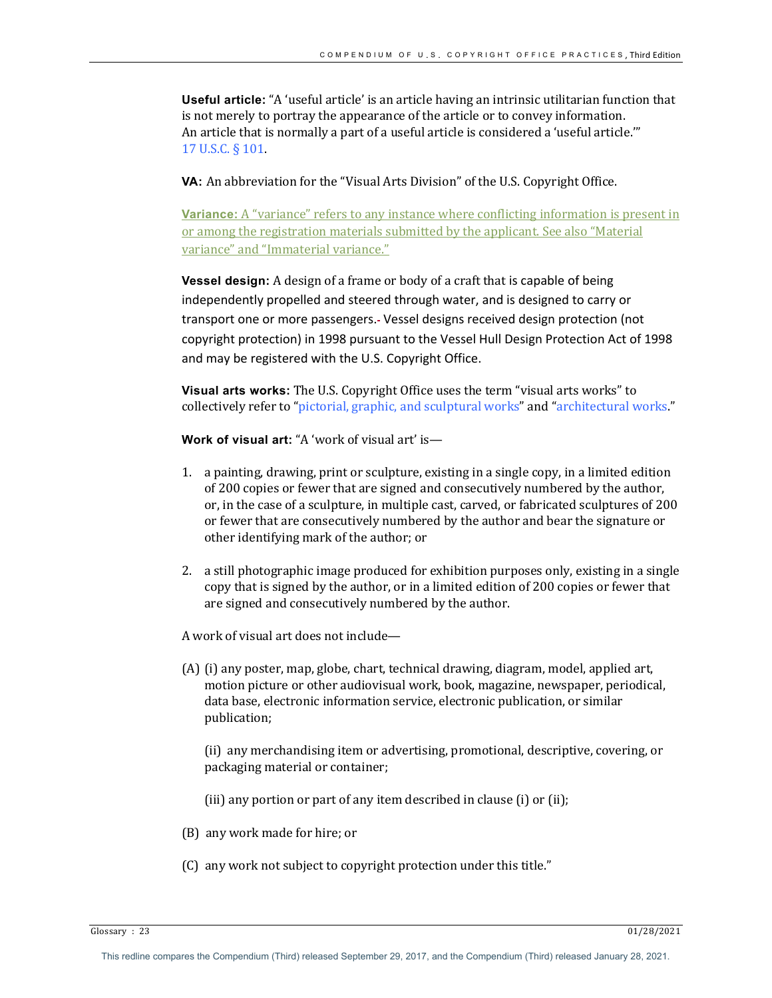**Useful article:** "A 'useful article' is an article having an intrinsic utilitarian function that is not merely to portray the appearance of the article or to convey information. An article that is normally a part of a useful article is considered a 'useful article." 17 U.S.C. § 101.

**VA:** An abbreviation for the "Visual Arts Division" of the U.S. Copyright Office.

**Variance:** A "variance" refers to any instance where conflicting information is present in or among the registration materials submitted by the applicant. See also "Material variance" and "Immaterial variance."

**Vessel design:** A design of a frame or body of a craft that is capable of being independently propelled and steered through water, and is designed to carry or transport one or more passengers. Vessel designs received design protection (not copyright protection) in 1998 pursuant to the Vessel Hull Design Protection Act of 1998 and may be registered with the U.S. Copyright Office.

**Visual arts works:** The U.S. Copyright Office uses the term "visual arts works" to collectively refer to "pictorial, graphic, and sculptural works" and "architectural works."

**Work of visual art:** "A 'work of visual art' is—

- 1. a painting, drawing, print or sculpture, existing in a single copy, in a limited edition of 200 copies or fewer that are signed and consecutively numbered by the author, or, in the case of a sculpture, in multiple cast, carved, or fabricated sculptures of 200 or fewer that are consecutively numbered by the author and bear the signature or other identifying mark of the author; or
- 2. a still photographic image produced for exhibition purposes only, existing in a single copy that is signed by the author, or in a limited edition of 200 copies or fewer that are signed and consecutively numbered by the author.

A work of visual art does not include—

(A) (i) any poster, map, globe, chart, technical drawing, diagram, model, applied art, motion picture or other audiovisual work, book, magazine, newspaper, periodical, data base, electronic information service, electronic publication, or similar publication;

(ii) any merchandising item or advertising, promotional, descriptive, covering, or packaging material or container;

- (iii) any portion or part of any item described in clause  $(i)$  or  $(ii)$ ;
- (B) any work made for hire; or
- (C) any work not subject to copyright protection under this title."

Glossary : 23  $01/28/2021$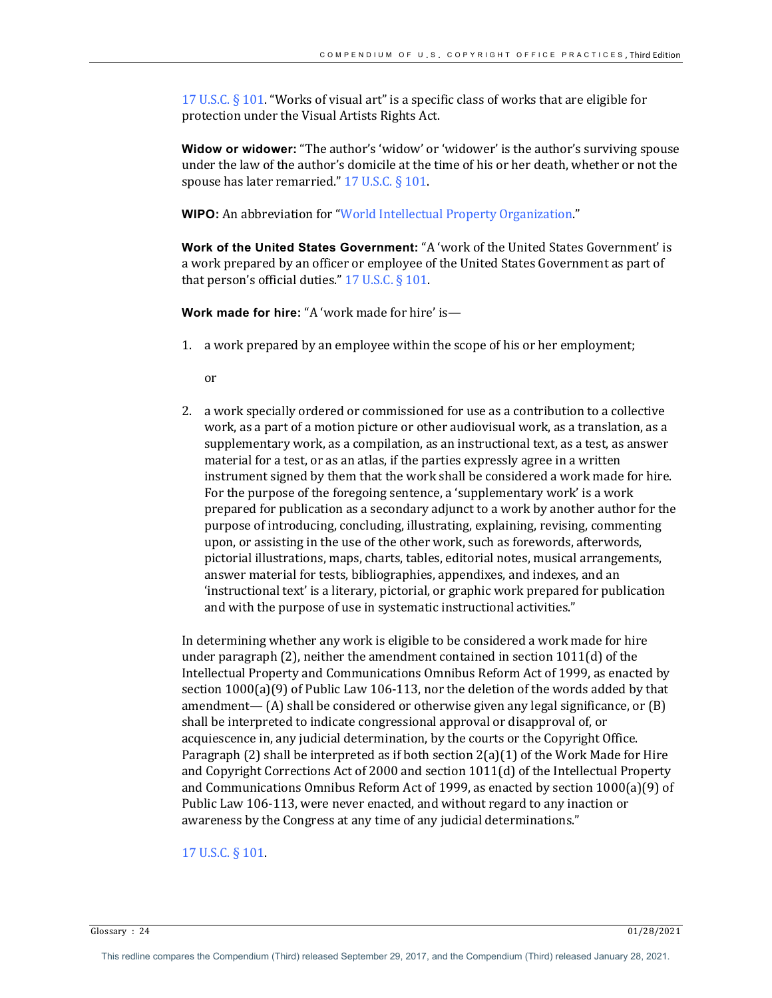17 U.S.C.  $\S$  101. "Works of visual art" is a specific class of works that are eligible for protection under the Visual Artists Rights Act.

**Widow or widower:** "The author's 'widow' or 'widower' is the author's surviving spouse under the law of the author's domicile at the time of his or her death, whether or not the spouse has later remarried."  $17$  U.S.C. § 101.

**WIPO:** An abbreviation for "World Intellectual Property Organization."

**Work of the United States Government:** "A 'work of the United States Government' is a work prepared by an officer or employee of the United States Government as part of that person's official duties."  $17$  U.S.C. §  $101$ .

**Work made for hire:** "A 'work made for hire' is-

1. a work prepared by an employee within the scope of his or her employment;

or

2. a work specially ordered or commissioned for use as a contribution to a collective work, as a part of a motion picture or other audiovisual work, as a translation, as a supplementary work, as a compilation, as an instructional text, as a test, as answer material for a test, or as an atlas, if the parties expressly agree in a written instrument signed by them that the work shall be considered a work made for hire. For the purpose of the foregoing sentence, a 'supplementary work' is a work prepared for publication as a secondary adjunct to a work by another author for the purpose of introducing, concluding, illustrating, explaining, revising, commenting upon, or assisting in the use of the other work, such as forewords, afterwords, pictorial illustrations, maps, charts, tables, editorial notes, musical arrangements, answer material for tests, bibliographies, appendixes, and indexes, and an 'instructional text' is a literary, pictorial, or graphic work prepared for publication and with the purpose of use in systematic instructional activities."

In determining whether any work is eligible to be considered a work made for hire under paragraph  $(2)$ , neither the amendment contained in section  $1011(d)$  of the Intellectual Property and Communications Omnibus Reform Act of 1999, as enacted by section  $1000(a)(9)$  of Public Law 106-113, nor the deletion of the words added by that amendment—  $(A)$  shall be considered or otherwise given any legal significance, or  $(B)$ shall be interpreted to indicate congressional approval or disapproval of, or acquiescence in, any judicial determination, by the courts or the Copyright Office. Paragraph (2) shall be interpreted as if both section  $2(a)(1)$  of the Work Made for Hire and Copyright Corrections Act of 2000 and section  $1011(d)$  of the Intellectual Property and Communications Omnibus Reform Act of 1999, as enacted by section  $1000(a)(9)$  of Public Law 106-113, were never enacted, and without regard to any inaction or awareness by the Congress at any time of any judicial determinations."

### 17 U.S.C. § 101.

Glossary :  $24$  01/28/2021